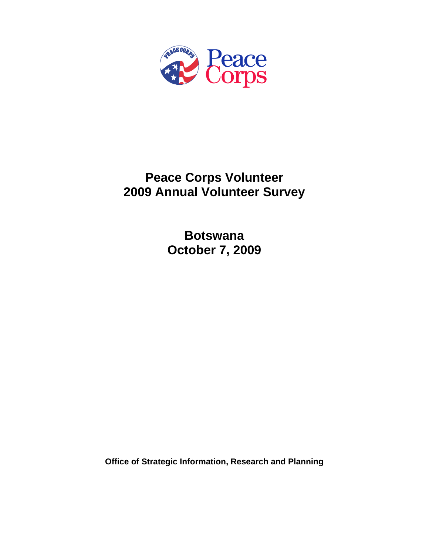

# **Peace Corps Volunteer 2009 Annual Volunteer Survey**

**Botswana October 7, 2009** 

**Office of Strategic Information, Research and Planning**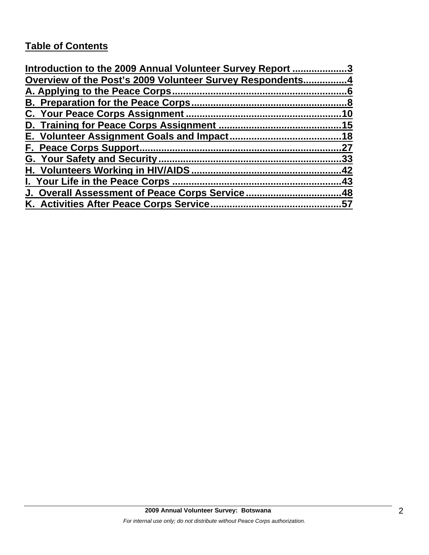# **Table of Contents**

| Introduction to the 2009 Annual Volunteer Survey Report 3 |     |
|-----------------------------------------------------------|-----|
| Overview of the Post's 2009 Volunteer Survey Respondents4 |     |
|                                                           |     |
|                                                           |     |
|                                                           | 10  |
|                                                           |     |
|                                                           |     |
|                                                           | 27  |
|                                                           | .33 |
|                                                           | 42  |
| I. Your Life in the Peace Corps                           | 43  |
| J. Overall Assessment of Peace Corps Service48            |     |
|                                                           | .57 |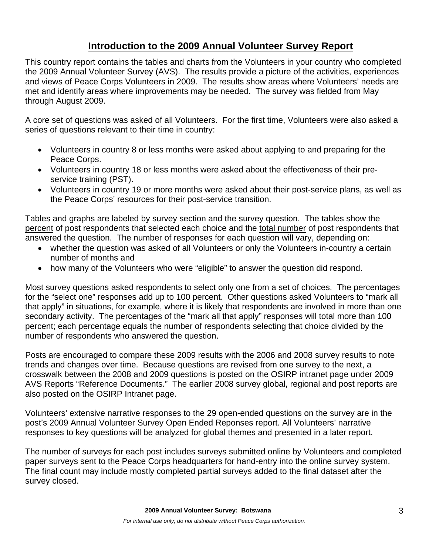# **Introduction to the 2009 Annual Volunteer Survey Report**

This country report contains the tables and charts from the Volunteers in your country who completed the 2009 Annual Volunteer Survey (AVS). The results provide a picture of the activities, experiences and views of Peace Corps Volunteers in 2009. The results show areas where Volunteers' needs are met and identify areas where improvements may be needed. The survey was fielded from May through August 2009.

A core set of questions was asked of all Volunteers. For the first time, Volunteers were also asked a series of questions relevant to their time in country:

- Volunteers in country 8 or less months were asked about applying to and preparing for the Peace Corps.
- Volunteers in country 18 or less months were asked about the effectiveness of their preservice training (PST).
- Volunteers in country 19 or more months were asked about their post-service plans, as well as the Peace Corps' resources for their post-service transition.

Tables and graphs are labeled by survey section and the survey question. The tables show the percent of post respondents that selected each choice and the total number of post respondents that answered the question. The number of responses for each question will vary, depending on:

- whether the question was asked of all Volunteers or only the Volunteers in-country a certain number of months and
- how many of the Volunteers who were "eligible" to answer the question did respond.

Most survey questions asked respondents to select only one from a set of choices. The percentages for the "select one" responses add up to 100 percent. Other questions asked Volunteers to "mark all that apply" in situations, for example, where it is likely that respondents are involved in more than one secondary activity. The percentages of the "mark all that apply" responses will total more than 100 percent; each percentage equals the number of respondents selecting that choice divided by the number of respondents who answered the question.

Posts are encouraged to compare these 2009 results with the 2006 and 2008 survey results to note trends and changes over time. Because questions are revised from one survey to the next, a crosswalk between the 2008 and 2009 questions is posted on the OSIRP intranet page under 2009 AVS Reports "Reference Documents." The earlier 2008 survey global, regional and post reports are also posted on the OSIRP Intranet page.

Volunteers' extensive narrative responses to the 29 open-ended questions on the survey are in the post's 2009 Annual Volunteer Survey Open Ended Reponses report. All Volunteers' narrative responses to key questions will be analyzed for global themes and presented in a later report.

The number of surveys for each post includes surveys submitted online by Volunteers and completed paper surveys sent to the Peace Corps headquarters for hand-entry into the online survey system. The final count may include mostly completed partial surveys added to the final dataset after the survey closed.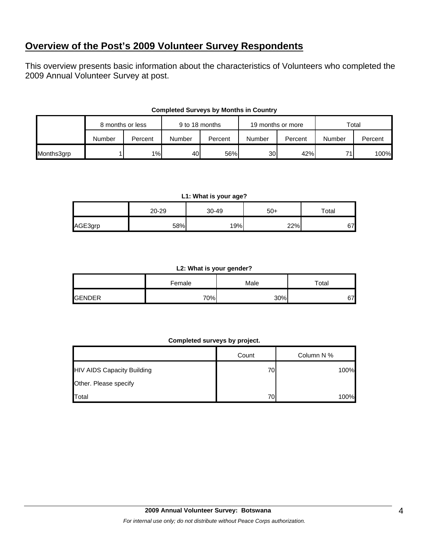# **Overview of the Post's 2009 Volunteer Survey Respondents**

This overview presents basic information about the characteristics of Volunteers who completed the 2009 Annual Volunteer Survey at post.

|            | 8 months or less |         | 9 to 18 months |         | 19 months or more |         | Total  |         |
|------------|------------------|---------|----------------|---------|-------------------|---------|--------|---------|
|            | Number           | Percent | Number         | Percent | Number            | Percent | Number | Percent |
| Months3grp |                  | 1%      | 40             | 56%     | 30 <sup>l</sup>   | 42%     | 74     | 100%    |

### **Completed Surveys by Months in Country**

#### **L1: What is your age?**

|         | 20-29 | 30-49 | $50+$ | $\tau$ otal |
|---------|-------|-------|-------|-------------|
| AGE3grp | 58%   | 19%   | 22%   | ~-<br>ىر.   |

#### **L2: What is your gender?**

|               | Female | Male | $\tau$ otal |
|---------------|--------|------|-------------|
| <b>GENDER</b> | 70%    | 30%  | 67.         |

#### **Completed surveys by project.**

|                                   | Count | Column N % |
|-----------------------------------|-------|------------|
| <b>HIV AIDS Capacity Building</b> | 70    | 100%       |
| Other. Please specify             |       |            |
| Total                             | 70    | 100%       |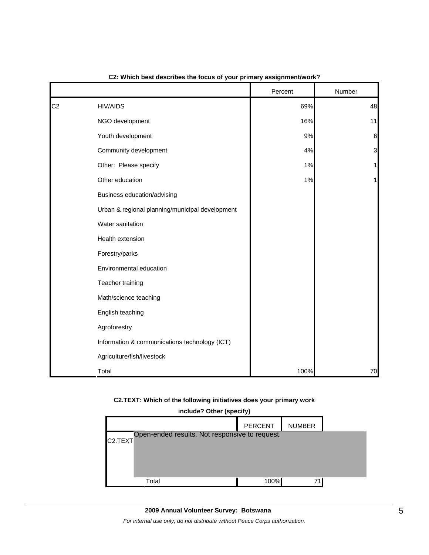|                |                                                 | Percent | Number       |
|----------------|-------------------------------------------------|---------|--------------|
| C <sub>2</sub> | <b>HIV/AIDS</b>                                 | 69%     | 48           |
|                | NGO development                                 | 16%     | 11           |
|                | Youth development                               | 9%      | 6            |
|                | Community development                           | 4%      | 3            |
|                | Other: Please specify                           | 1%      | $\mathbf{1}$ |
|                | Other education                                 | 1%      | 1            |
|                | Business education/advising                     |         |              |
|                | Urban & regional planning/municipal development |         |              |
|                | Water sanitation                                |         |              |
|                | Health extension                                |         |              |
|                | Forestry/parks                                  |         |              |
|                | Environmental education                         |         |              |
|                | Teacher training                                |         |              |
|                | Math/science teaching                           |         |              |
|                | English teaching                                |         |              |
|                | Agroforestry                                    |         |              |
|                | Information & communications technology (ICT)   |         |              |
|                | Agriculture/fish/livestock                      |         |              |
|                | Total                                           | 100%    | 70           |

# **C2: Which best describes the focus of your primary assignment/work?**

### **C2.TEXT: Which of the following initiatives does your primary work**

| include? Other (specify)                                               |                |               |  |  |  |  |  |
|------------------------------------------------------------------------|----------------|---------------|--|--|--|--|--|
|                                                                        | <b>PERCENT</b> | <b>NUMBER</b> |  |  |  |  |  |
| Open-ended results. Not responsive to request.<br>C <sub>2</sub> .TEXT |                |               |  |  |  |  |  |
| Total                                                                  | 100%           |               |  |  |  |  |  |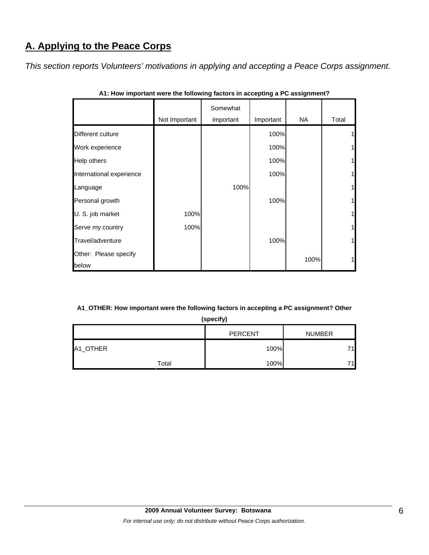# **A. Applying to the Peace Corps**

*This section reports Volunteers' motivations in applying and accepting a Peace Corps assignment.* 

|                          |               | Somewhat  |           | <b>NA</b> |       |
|--------------------------|---------------|-----------|-----------|-----------|-------|
|                          | Not Important | important | Important |           | Total |
| Different culture        |               |           | 100%      |           |       |
| Work experience          |               |           | 100%      |           |       |
| Help others              |               |           | 100%      |           | 1     |
| International experience |               |           | 100%      |           |       |
| Language                 |               | 100%      |           |           |       |
| Personal growth          |               |           | 100%      |           | 1     |
| U. S. job market         | 100%          |           |           |           | 1     |
| Serve my country         | 100%          |           |           |           | 1     |
| Travel/adventure         |               |           | 100%      |           |       |
| Other: Please specify    |               |           |           |           |       |
| below                    |               |           |           | 100%      |       |

**A1: How important were the following factors in accepting a PC assignment?**

# **A1\_OTHER: How important were the following factors in accepting a PC assignment? Other**

|  | (specify) |  |
|--|-----------|--|
|--|-----------|--|

|          |       | <b>PERCENT</b> | <b>NUMBER</b> |
|----------|-------|----------------|---------------|
| A1_OTHER |       | 100%           | 71.           |
|          | Total | 100%           | 71            |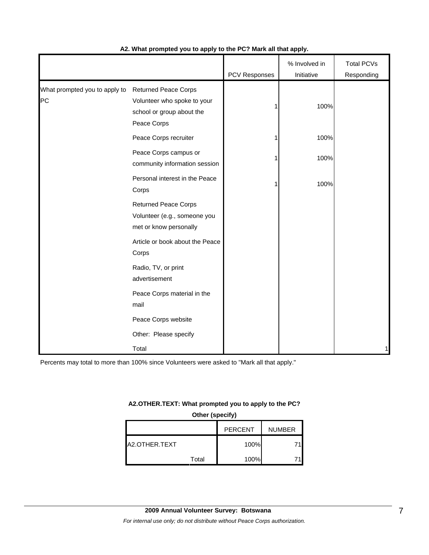|                                     |                                                                                                        | PCV Responses | % Involved in<br>Initiative | <b>Total PCVs</b><br>Responding |
|-------------------------------------|--------------------------------------------------------------------------------------------------------|---------------|-----------------------------|---------------------------------|
| What prompted you to apply to<br>PC | <b>Returned Peace Corps</b><br>Volunteer who spoke to your<br>school or group about the<br>Peace Corps |               | 100%                        |                                 |
|                                     | Peace Corps recruiter                                                                                  |               | 100%                        |                                 |
|                                     | Peace Corps campus or<br>community information session                                                 |               | 100%                        |                                 |
|                                     | Personal interest in the Peace<br>Corps                                                                |               | 100%                        |                                 |
|                                     | <b>Returned Peace Corps</b><br>Volunteer (e.g., someone you<br>met or know personally                  |               |                             |                                 |
|                                     | Article or book about the Peace<br>Corps                                                               |               |                             |                                 |
|                                     | Radio, TV, or print<br>advertisement                                                                   |               |                             |                                 |
|                                     | Peace Corps material in the<br>mail                                                                    |               |                             |                                 |
|                                     | Peace Corps website                                                                                    |               |                             |                                 |
|                                     | Other: Please specify                                                                                  |               |                             |                                 |
|                                     | Total                                                                                                  |               |                             | 1                               |

## **A2. What prompted you to apply to the PC? Mark all that apply.**

Percents may total to more than 100% since Volunteers were asked to "Mark all that apply."

#### **A2.OTHER.TEXT: What prompted you to apply to the PC?**

**Other (specify)**

|               |       | <b>PERCENT</b> | <b>NUMBER</b> |
|---------------|-------|----------------|---------------|
| A2.OTHER.TEXT |       | 100%           |               |
|               | Total | 100%           |               |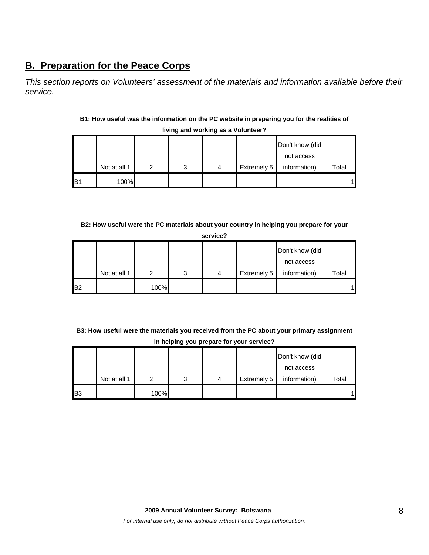# **B. Preparation for the Peace Corps**

*This section reports on Volunteers' assessment of the materials and information available before their service.* 

# **B1: How useful was the information on the PC website in preparing you for the realities of living and working as a Volunteer?**

|     |              |   |   |   |             | Don't know (did |       |
|-----|--------------|---|---|---|-------------|-----------------|-------|
|     |              |   |   |   |             | not access      |       |
|     | Not at all 1 | ົ | 3 | 4 | Extremely 5 | information)    | Total |
| IB1 | 100%         |   |   |   |             |                 |       |

# **B2: How useful were the PC materials about your country in helping you prepare for your**

| <b>service</b> |
|----------------|
|                |

|                 |              |      |   |   |             | Don't know (did |       |
|-----------------|--------------|------|---|---|-------------|-----------------|-------|
|                 |              |      |   |   |             | not access      |       |
|                 | Not at all 1 | 2    | 3 | 4 | Extremely 5 | information)    | Total |
| IB <sub>2</sub> |              | 100% |   |   |             |                 |       |

# **B3: How useful were the materials you received from the PC about your primary assignment in helping you prepare for your service?**

|            |              |      |   |   |             | Don't know (did |       |
|------------|--------------|------|---|---|-------------|-----------------|-------|
|            |              |      |   |   |             | not access      |       |
|            | Not at all 1 |      | 3 | 4 | Extremely 5 | information)    | Total |
| <b>IB3</b> |              | 100% |   |   |             |                 |       |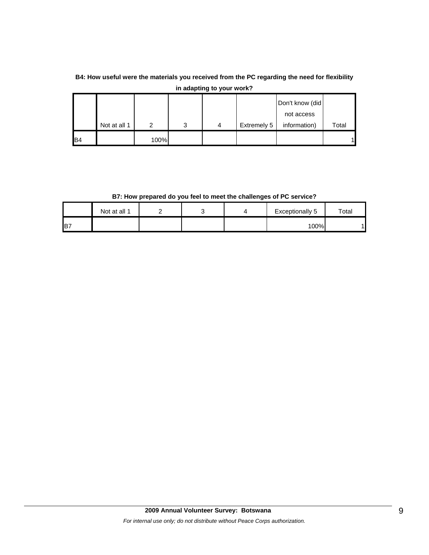# **B4: How useful were the materials you received from the PC regarding the need for flexibility in adapting to your work?**

|                |              |      |   |   |             | Don't know (did |       |
|----------------|--------------|------|---|---|-------------|-----------------|-------|
|                |              |      |   |   |             | not access      |       |
|                | Not at all 1 | ົ    | 3 | 4 | Extremely 5 | information)    | Total |
| B <sub>4</sub> |              | 100% |   |   |             |                 |       |

# **B7: How prepared do you feel to meet the challenges of PC service?**

|     | Not at all 1 |  | <b>Exceptionally 5</b> | $\tau$ otal |
|-----|--------------|--|------------------------|-------------|
| IB7 |              |  | 100%                   |             |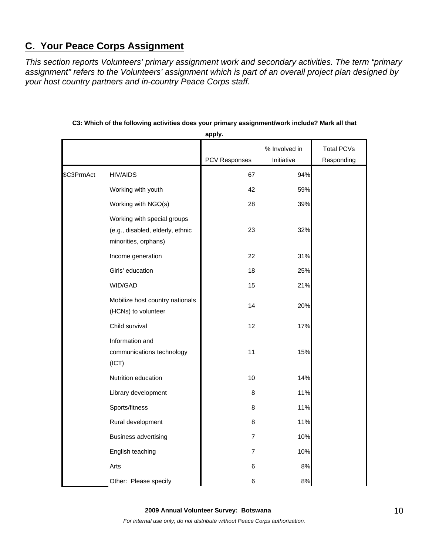# **C. Your Peace Corps Assignment**

*This section reports Volunteers' primary assignment work and secondary activities. The term "primary assignment" refers to the Volunteers' assignment which is part of an overall project plan designed by your host country partners and in-country Peace Corps staff.* 

|            |                                                                                         | apply.        |               |                   |
|------------|-----------------------------------------------------------------------------------------|---------------|---------------|-------------------|
|            |                                                                                         |               | % Involved in | <b>Total PCVs</b> |
|            |                                                                                         | PCV Responses | Initiative    | Responding        |
| \$C3PrmAct | <b>HIV/AIDS</b>                                                                         | 67            | 94%           |                   |
|            | Working with youth                                                                      | 42            | 59%           |                   |
|            | Working with NGO(s)                                                                     | 28            | 39%           |                   |
|            | Working with special groups<br>(e.g., disabled, elderly, ethnic<br>minorities, orphans) | 23            | 32%           |                   |
|            | Income generation                                                                       | 22            | 31%           |                   |
|            | Girls' education                                                                        | 18            | 25%           |                   |
|            | WID/GAD                                                                                 | 15            | 21%           |                   |
|            | Mobilize host country nationals<br>(HCNs) to volunteer                                  | 14            | 20%           |                   |
|            | Child survival                                                                          | 12            | 17%           |                   |
|            | Information and<br>communications technology<br>(ICT)                                   | 11            | 15%           |                   |
|            | Nutrition education                                                                     | 10            | 14%           |                   |
|            | Library development                                                                     | 8             | 11%           |                   |
|            | Sports/fitness                                                                          | 8             | 11%           |                   |
|            | Rural development                                                                       | 8             | 11%           |                   |
|            | <b>Business advertising</b>                                                             | 7             | 10%           |                   |
|            | English teaching                                                                        | 7             | 10%           |                   |
|            | Arts                                                                                    | $\,6$         | 8%            |                   |
|            | Other: Please specify                                                                   | 6             | $8\%$         |                   |

# **C3: Which of the following activities does your primary assignment/work include? Mark all that**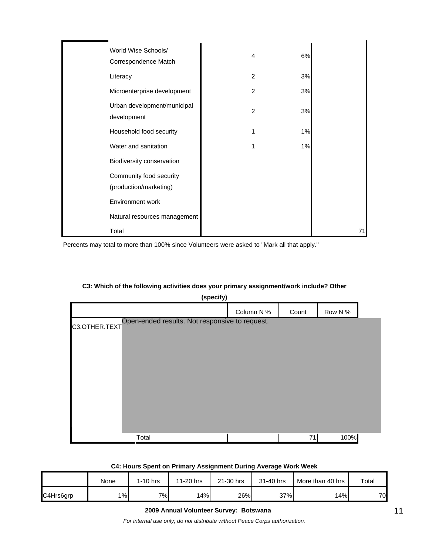| World Wise Schools/<br>Correspondence Match       | 6% |    |
|---------------------------------------------------|----|----|
| Literacy                                          | 3% |    |
| Microenterprise development                       | 3% |    |
| Urban development/municipal<br>development        | 3% |    |
| Household food security                           | 1% |    |
| Water and sanitation                              | 1% |    |
| Biodiversity conservation                         |    |    |
| Community food security<br>(production/marketing) |    |    |
| Environment work                                  |    |    |
| Natural resources management                      |    |    |
| Total                                             |    | 71 |

Percents may total to more than 100% since Volunteers were asked to "Mark all that apply."

## **C3: Which of the following activities does your primary assignment/work include? Other**

| (specify)                                                    |            |       |         |  |
|--------------------------------------------------------------|------------|-------|---------|--|
|                                                              | Column N % | Count | Row N % |  |
| C3.OTHER.TEXT Open-ended results. Not responsive to request. |            |       |         |  |
| Total                                                        |            | 71    | 100%    |  |

#### **C4: Hours Spent on Primary Assignment During Average Work Week**

|           | None | $1-10$ hrs | 11-20 hrs | 21-30 hrs | 31-40 hrs | More than 40 hrs | Total |
|-----------|------|------------|-----------|-----------|-----------|------------------|-------|
| C4Hrs6grp | 1%   | 7%1        | 14%       | 26%       | 37%       | 14%              | 70    |

#### **2009 Annual Volunteer Survey: Botswana**

*For internal use only; do not distribute without Peace Corps authorization.*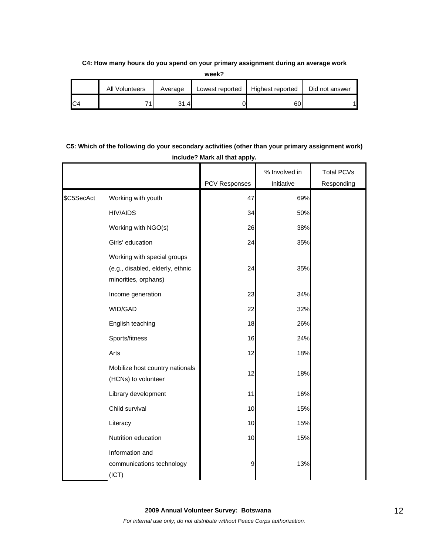### **C4: How many hours do you spend on your primary assignment during an average work**

**week?**

| All Volunteers | Average | Lowest reported | Highest reported | Did not answer |
|----------------|---------|-----------------|------------------|----------------|
| $\overline{ }$ | 31.4    |                 | 60               |                |

# **C5: Which of the following do your secondary activities (other than your primary assignment work) include? Mark all that apply.**

|            |                                                                                         |               | % Involved in | <b>Total PCVs</b> |
|------------|-----------------------------------------------------------------------------------------|---------------|---------------|-------------------|
|            |                                                                                         | PCV Responses | Initiative    | Responding        |
| \$C5SecAct | Working with youth                                                                      | 47            | 69%           |                   |
|            | <b>HIV/AIDS</b>                                                                         | 34            | 50%           |                   |
|            | Working with NGO(s)                                                                     | 26            | 38%           |                   |
|            | Girls' education                                                                        | 24            | 35%           |                   |
|            | Working with special groups<br>(e.g., disabled, elderly, ethnic<br>minorities, orphans) | 24            | 35%           |                   |
|            | Income generation                                                                       | 23            | 34%           |                   |
|            | WID/GAD                                                                                 | 22            | 32%           |                   |
|            | English teaching                                                                        | 18            | 26%           |                   |
|            | Sports/fitness                                                                          | 16            | 24%           |                   |
|            | Arts                                                                                    | 12            | 18%           |                   |
|            | Mobilize host country nationals<br>(HCNs) to volunteer                                  | 12            | 18%           |                   |
|            | Library development                                                                     | 11            | 16%           |                   |
|            | Child survival                                                                          | 10            | 15%           |                   |
|            | Literacy                                                                                | 10            | 15%           |                   |
|            | Nutrition education                                                                     | 10            | 15%           |                   |
|            | Information and<br>communications technology<br>(ICT)                                   | 9             | 13%           |                   |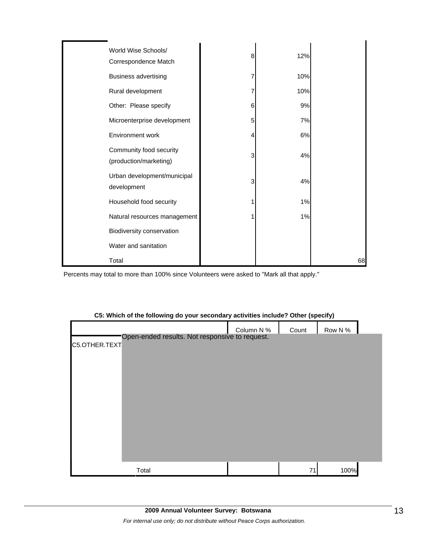| World Wise Schools/<br>Correspondence Match       | 8 | 12% |    |
|---------------------------------------------------|---|-----|----|
| <b>Business advertising</b>                       |   | 10% |    |
| Rural development                                 |   | 10% |    |
| Other: Please specify                             | 6 | 9%  |    |
| Microenterprise development                       | 5 | 7%  |    |
| Environment work                                  | 4 | 6%  |    |
| Community food security<br>(production/marketing) | 3 | 4%  |    |
| Urban development/municipal<br>development        | 3 | 4%  |    |
| Household food security                           |   | 1%  |    |
| Natural resources management                      |   | 1%  |    |
| Biodiversity conservation                         |   |     |    |
| Water and sanitation                              |   |     |    |
| Total                                             |   |     | 68 |

Percents may total to more than 100% since Volunteers were asked to "Mark all that apply."

|                                                                 |            | . .   | . .    |  |
|-----------------------------------------------------------------|------------|-------|--------|--|
|                                                                 | Column N % | Count | Row N% |  |
| Open-ended results. Not responsive to request.<br>C5.OTHER.TEXT |            |       |        |  |
|                                                                 |            |       |        |  |
|                                                                 |            |       |        |  |
|                                                                 |            |       |        |  |
|                                                                 |            |       |        |  |
|                                                                 |            |       |        |  |
|                                                                 |            |       |        |  |
|                                                                 |            |       |        |  |
|                                                                 |            |       |        |  |
|                                                                 |            |       |        |  |
|                                                                 |            |       |        |  |
| Total                                                           |            | 71    | 100%   |  |

#### **C5: Which of the following do your secondary activities include? Other (specify)**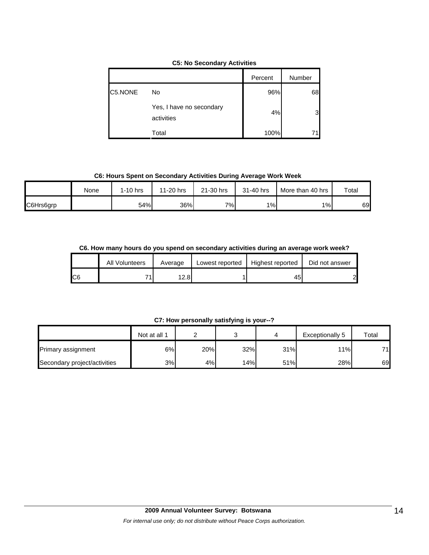|  |  | <b>C5: No Secondary Activities</b> |  |
|--|--|------------------------------------|--|
|--|--|------------------------------------|--|

|         |                                        | Percent | Number |
|---------|----------------------------------------|---------|--------|
| C5.NONE | No                                     | 96%     | 68     |
|         | Yes, I have no secondary<br>activities | 4%      | 3      |
|         | Total                                  | 100%    |        |

### **C6: Hours Spent on Secondary Activities During Average Work Week**

|           | None | $1-10$ hrs | 11-20 hrs | 21-30 hrs | 31-40 hrs | More than 40 hrs | Total |
|-----------|------|------------|-----------|-----------|-----------|------------------|-------|
| C6Hrs6grp |      | 54%        | 36%       | $7\%$     | 1%        | 1%               | 69    |

# **C6. How many hours do you spend on secondary activities during an average work week?**

|     | All Volunteers           | Average | Lowest reported | Highest reported | Did not answer |
|-----|--------------------------|---------|-----------------|------------------|----------------|
| IC6 | $\overline{\phantom{a}}$ | 2.8     |                 | 45.              | ി              |

**C7: How personally satisfying is your--?**

|                              | Not at all 1 |     |     |     | Exceptionally 5 | Total |
|------------------------------|--------------|-----|-----|-----|-----------------|-------|
| <b>Primary assignment</b>    | 6%           | 20% | 32% | 31% | 11%             | 74    |
| Secondary project/activities | 3%           | 4%  | 14% | 51% | 28%             | 69    |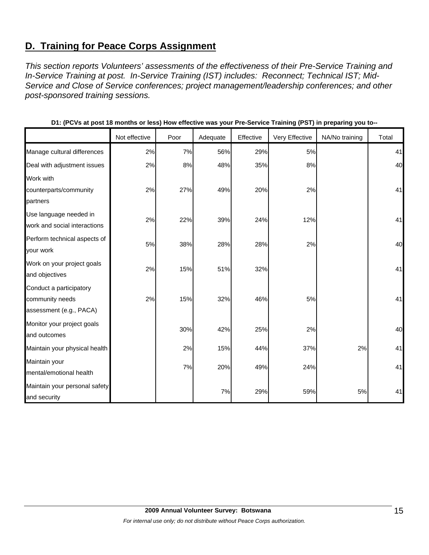# **D. Training for Peace Corps Assignment**

*This section reports Volunteers' assessments of the effectiveness of their Pre-Service Training and In-Service Training at post. In-Service Training (IST) includes: Reconnect; Technical IST; Mid-Service and Close of Service conferences; project management/leadership conferences; and other post-sponsored training sessions.* 

|                                                                       | Not effective | Poor | Adequate | Effective | Very Effective | NA/No training | Total |
|-----------------------------------------------------------------------|---------------|------|----------|-----------|----------------|----------------|-------|
| Manage cultural differences                                           | 2%            | 7%   | 56%      | 29%       | 5%             |                | 41    |
| Deal with adjustment issues                                           | 2%            | 8%   | 48%      | 35%       | 8%             |                | 40    |
| Work with<br>counterparts/community<br>partners                       | 2%            | 27%  | 49%      | 20%       | 2%             |                | 41    |
| Use language needed in<br>work and social interactions                | 2%            | 22%  | 39%      | 24%       | 12%            |                | 41    |
| Perform technical aspects of<br>your work                             | 5%            | 38%  | 28%      | 28%       | 2%             |                | 40    |
| Work on your project goals<br>and objectives                          | 2%            | 15%  | 51%      | 32%       |                |                | 41    |
| Conduct a participatory<br>community needs<br>assessment (e.g., PACA) | 2%            | 15%  | 32%      | 46%       | 5%             |                | 41    |
| Monitor your project goals<br>and outcomes                            |               | 30%  | 42%      | 25%       | 2%             |                | 40    |
| Maintain your physical health                                         |               | 2%   | 15%      | 44%       | 37%            | 2%             | 41    |
| Maintain your<br>mental/emotional health                              |               | 7%   | 20%      | 49%       | 24%            |                | 41    |
| Maintain your personal safety<br>and security                         |               |      | 7%       | 29%       | 59%            | 5%             | 41    |

|  |  |  | D1: (PCVs at post 18 months or less) How effective was your Pre-Service Training (PST) in preparing you to-- |
|--|--|--|--------------------------------------------------------------------------------------------------------------|
|--|--|--|--------------------------------------------------------------------------------------------------------------|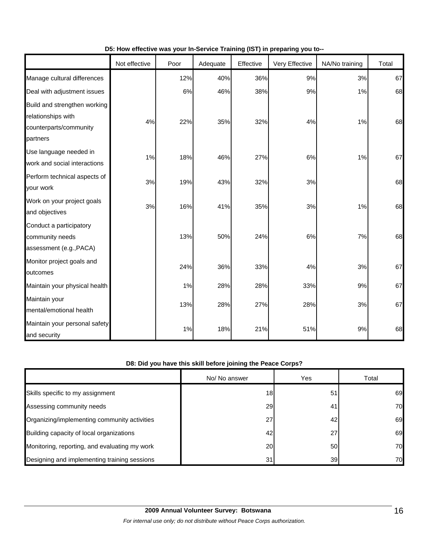|                               | Not effective | Poor  | Adequate | Effective | Very Effective | NA/No training | Total |
|-------------------------------|---------------|-------|----------|-----------|----------------|----------------|-------|
| Manage cultural differences   |               | 12%   | 40%      | 36%       | 9%             | 3%             | 67    |
| Deal with adjustment issues   |               | $6\%$ | 46%      | 38%       | 9%             | 1%             | 68    |
| Build and strengthen working  |               |       |          |           |                |                |       |
| relationships with            | 4%            | 22%   | 35%      | 32%       | 4%             | 1%             | 68    |
| counterparts/community        |               |       |          |           |                |                |       |
| partners                      |               |       |          |           |                |                |       |
| Use language needed in        | 1%            | 18%   | 46%      | 27%       | 6%             | 1%             | 67    |
| work and social interactions  |               |       |          |           |                |                |       |
| Perform technical aspects of  | 3%            | 19%   | 43%      | 32%       | 3%             |                | 68    |
| your work                     |               |       |          |           |                |                |       |
| Work on your project goals    | 3%            | 16%   | 41%      | 35%       | 3%             | 1%             | 68    |
| and objectives                |               |       |          |           |                |                |       |
| Conduct a participatory       |               |       |          |           |                |                |       |
| community needs               |               | 13%   | 50%      | 24%       | 6%             | 7%             | 68    |
| assessment (e.g., PACA)       |               |       |          |           |                |                |       |
| Monitor project goals and     |               | 24%   | 36%      | 33%       | 4%             | 3%             | 67    |
| outcomes                      |               |       |          |           |                |                |       |
| Maintain your physical health |               | 1%    | 28%      | 28%       | 33%            | 9%             | 67    |
| Maintain your                 |               |       |          |           |                |                |       |
| mental/emotional health       |               | 13%   | 28%      | 27%       | 28%            | 3%             | 67    |
| Maintain your personal safety |               |       |          |           |                |                |       |
| and security                  |               | 1%    | 18%      | 21%       | 51%            | 9%             | 68    |

# **D5: How effective was your In-Service Training (IST) in preparing you to--**

### **D8: Did you have this skill before joining the Peace Corps?**

|                                               | No/ No answer | Yes             | Total |
|-----------------------------------------------|---------------|-----------------|-------|
| Skills specific to my assignment              | 18            | 51              | 69    |
| Assessing community needs                     | 29            | 41              | 70    |
| Organizing/implementing community activities  | 27            | 42              | 69    |
| Building capacity of local organizations      | 42            | 27 <sub>l</sub> | 69    |
| Monitoring, reporting, and evaluating my work | 20            | 50              | 70    |
| Designing and implementing training sessions  | 31            | 39              | 70    |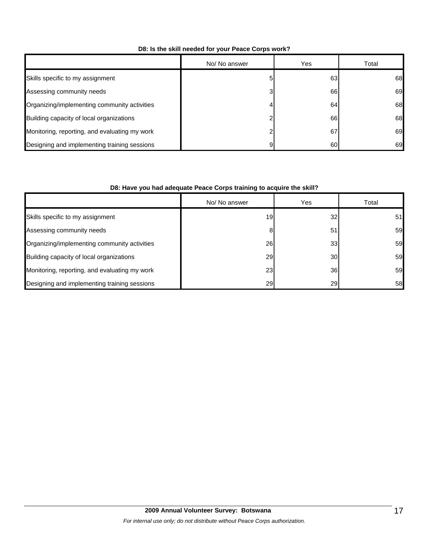|                                               | No/ No answer | Yes | Total |
|-----------------------------------------------|---------------|-----|-------|
| Skills specific to my assignment              | Ð             | 63  | 68    |
| Assessing community needs                     | 3             | 66  | 69    |
| Organizing/implementing community activities  |               | 64  | 68    |
| Building capacity of local organizations      |               | 66  | 68    |
| Monitoring, reporting, and evaluating my work |               | 67  | 69    |
| Designing and implementing training sessions  |               | 60I | 69    |

# **D8: Is the skill needed for your Peace Corps work?**

# **D8: Have you had adequate Peace Corps training to acquire the skill?**

|                                               | No/ No answer   | Yes | Total |
|-----------------------------------------------|-----------------|-----|-------|
| Skills specific to my assignment              | 19 <sub>l</sub> | 32  | 51    |
| Assessing community needs                     | 8               | 51  | 59    |
| Organizing/implementing community activities  | 26              | 33  | 59    |
| Building capacity of local organizations      | 29              | 30  | 59    |
| Monitoring, reporting, and evaluating my work | 23              | 36  | 59    |
| Designing and implementing training sessions  | 29              | 29  | 58    |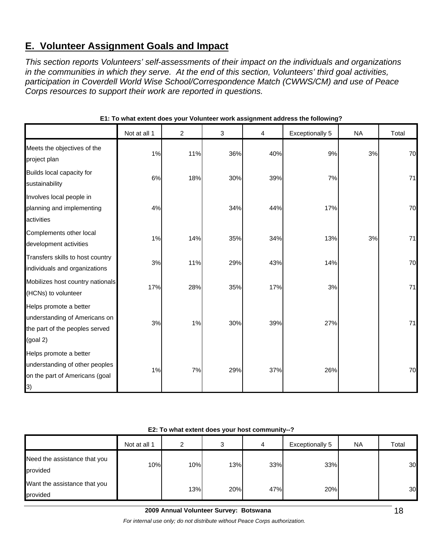# **E. Volunteer Assignment Goals and Impact**

*This section reports Volunteers' self-assessments of their impact on the individuals and organizations in the communities in which they serve. At the end of this section, Volunteers' third goal activities, participation in Coverdell World Wise School/Correspondence Match (CWWS/CM) and use of Peace Corps resources to support their work are reported in questions.* 

|                                                                                                                 | Not at all 1 | 2   | 3   | 4   | <b>Exceptionally 5</b> | <b>NA</b> | Total |
|-----------------------------------------------------------------------------------------------------------------|--------------|-----|-----|-----|------------------------|-----------|-------|
| Meets the objectives of the<br>project plan                                                                     | 1%           | 11% | 36% | 40% | 9%                     | 3%        | 70    |
| Builds local capacity for<br>sustainability                                                                     | 6%           | 18% | 30% | 39% | 7%                     |           | 71    |
| Involves local people in<br>planning and implementing<br>activities                                             | 4%           |     | 34% | 44% | 17%                    |           | 70    |
| Complements other local<br>development activities                                                               | 1%           | 14% | 35% | 34% | 13%                    | 3%        | 71    |
| Transfers skills to host country<br>individuals and organizations                                               | 3%           | 11% | 29% | 43% | 14%                    |           | 70    |
| Mobilizes host country nationals<br>(HCNs) to volunteer                                                         | 17%          | 28% | 35% | 17% | 3%                     |           | 71    |
| Helps promote a better<br>understanding of Americans on<br>the part of the peoples served<br>(goal 2)           | 3%           | 1%  | 30% | 39% | 27%                    |           | 71    |
| Helps promote a better<br>understanding of other peoples<br>on the part of Americans (goal<br>$\left( 3\right)$ | 1%           | 7%  | 29% | 37% | 26%                    |           | 70    |

|  | E1: To what extent does your Volunteer work assignment address the following? |
|--|-------------------------------------------------------------------------------|
|--|-------------------------------------------------------------------------------|

**E2: To what extent does your host community--?**

|                                          | Not at all 1 | ົ   | ◠   | 4   | Exceptionally 5 | <b>NA</b> | Total |
|------------------------------------------|--------------|-----|-----|-----|-----------------|-----------|-------|
| Need the assistance that you<br>provided | 10%          | 10% | 13% | 33% | 33%             |           | 30    |
| Want the assistance that you<br>provided |              | 13% | 20% | 47% | 20%             |           | 30    |

## **2009 Annual Volunteer Survey: Botswana**

*For internal use only; do not distribute without Peace Corps authorization.*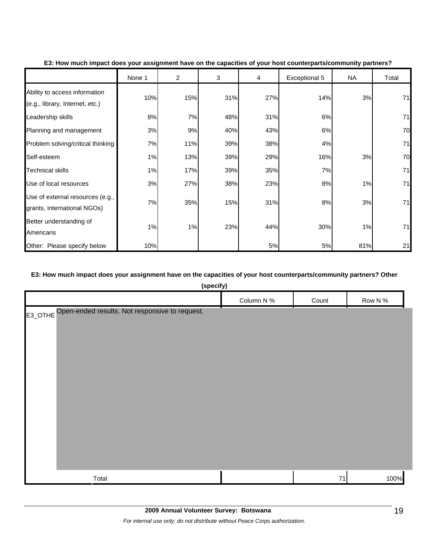|                                                                  | None 1 | $\overline{2}$ | 3   | 4   | Exceptional 5 | <b>NA</b> | Total |
|------------------------------------------------------------------|--------|----------------|-----|-----|---------------|-----------|-------|
| Ability to access information<br>(e.g., library, Internet, etc.) | 10%    | 15%            | 31% | 27% | 14%           | 3%        | 71    |
| Leadership skills                                                | 8%     | 7%             | 48% | 31% | 6%            |           | 71    |
| Planning and management                                          | 3%     | 9%             | 40% | 43% | 6%            |           | 70    |
| Problem solving/critical thinking                                | 7%     | 11%            | 39% | 38% | 4%            |           | 71    |
| Self-esteem                                                      | 1%     | 13%            | 39% | 29% | 16%           | 3%        | 70    |
| <b>Technical skills</b>                                          | 1%     | 17%            | 39% | 35% | 7%            |           | 71    |
| Use of local resources                                           | 3%     | 27%            | 38% | 23% | 8%            | 1%        | 71    |
| Use of external resources (e.g.,<br>grants, international NGOs)  | 7%     | 35%            | 15% | 31% | 8%            | 3%        | 71    |
| Better understanding of<br>Americans                             | 1%     | 1%             | 23% | 44% | 30%           | 1%        | 71    |
| Other: Please specify below                                      | 10%    |                |     | 5%  | 5%            | 81%       | 21    |

# **E3: How much impact does your assignment have on the capacities of your host counterparts/community partners?**

# **E3: How much impact does your assignment have on the capacities of your host counterparts/community partners? Other**

| (specity) |
|-----------|

| <i>(sheelik)</i>                                       |            |       |         |
|--------------------------------------------------------|------------|-------|---------|
|                                                        | Column N % | Count | Row N % |
| E3_OTHE Open-ended results. Not responsive to request. |            |       |         |
|                                                        |            |       |         |
|                                                        |            |       |         |
|                                                        |            |       |         |
|                                                        |            |       |         |
|                                                        |            |       |         |
|                                                        |            |       |         |
|                                                        |            |       |         |
|                                                        |            |       |         |
|                                                        |            |       |         |
|                                                        |            |       |         |
|                                                        |            |       |         |
| Total                                                  |            | 71    | 100%    |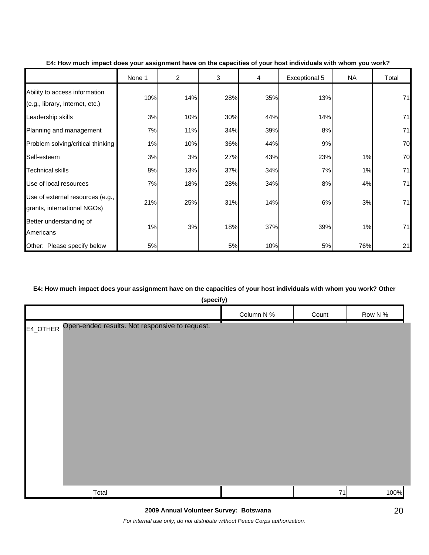|                                                                  | None 1 | 2   | 3   | 4   | Exceptional 5 | <b>NA</b> | Total |
|------------------------------------------------------------------|--------|-----|-----|-----|---------------|-----------|-------|
| Ability to access information<br>(e.g., library, Internet, etc.) | 10%    | 14% | 28% | 35% | 13%           |           | 71    |
| Leadership skills                                                | 3%     | 10% | 30% | 44% | 14%           |           | 71    |
| Planning and management                                          | 7%     | 11% | 34% | 39% | 8%            |           | 71    |
| Problem solving/critical thinking                                | 1%     | 10% | 36% | 44% | 9%            |           | 70    |
| Self-esteem                                                      | 3%     | 3%  | 27% | 43% | 23%           | 1%        | 70    |
| <b>Technical skills</b>                                          | 8%     | 13% | 37% | 34% | 7%            | 1%        | 71    |
| Use of local resources                                           | 7%     | 18% | 28% | 34% | 8%            | 4%        | 71    |
| Use of external resources (e.g.,<br>grants, international NGOs)  | 21%    | 25% | 31% | 14% | 6%            | 3%        | 71    |
| Better understanding of<br>Americans                             | 1%     | 3%  | 18% | 37% | 39%           | 1%        | 71    |
| Other: Please specify below                                      | 5%     |     | 5%  | 10% | 5%            | 76%       | 21    |

#### **E4: How much impact does your assignment have on the capacities of your host individuals with whom you work?**

#### **E4: How much impact does your assignment have on the capacities of your host individuals with whom you work? Other**

**(specify)**

| Column N % | Count | Row N % |
|------------|-------|---------|
|            |       |         |
|            |       |         |
|            |       |         |
|            |       |         |
|            |       |         |
|            |       |         |
|            |       |         |
|            |       |         |
|            |       |         |
|            |       |         |
|            |       |         |
|            |       | 100%    |
|            |       | 71      |

#### **2009 Annual Volunteer Survey: Botswana**

*For internal use only; do not distribute without Peace Corps authorization.*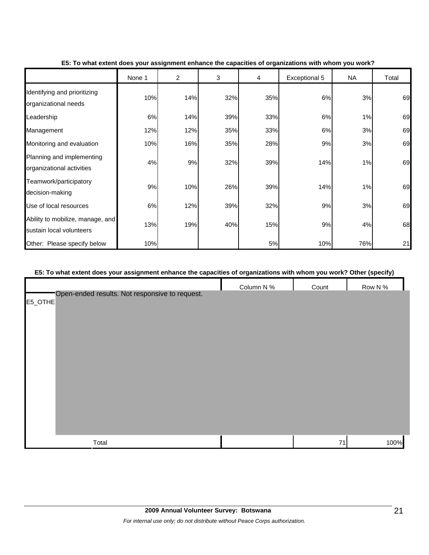|                                                              | None 1 | 2   | 3   | 4   | Exceptional 5 | <b>NA</b> | Total |
|--------------------------------------------------------------|--------|-----|-----|-----|---------------|-----------|-------|
| Identifying and prioritizing<br>organizational needs         | 10%    | 14% | 32% | 35% | 6%            | 3%        | 69    |
| Leadership                                                   | 6%     | 14% | 39% | 33% | 6%            | 1%        | 69    |
| Management                                                   | 12%    | 12% | 35% | 33% | 6%            | 3%        | 69    |
| Monitoring and evaluation                                    | 10%    | 16% | 35% | 28% | 9%            | 3%        | 69    |
| Planning and implementing<br>organizational activities       | 4%     | 9%  | 32% | 39% | 14%           | 1%        | 69    |
| Teamwork/participatory<br>decision-making                    | 9%     | 10% | 26% | 39% | 14%           | 1%        | 69    |
| Use of local resources                                       | 6%     | 12% | 39% | 32% | 9%            | 3%        | 69    |
| Ability to mobilize, manage, and<br>sustain local volunteers | 13%    | 19% | 40% | 15% | 9%            | 4%        | 68    |
| Other: Please specify below                                  | 10%    |     |     | 5%  | 10%           | 76%       | 21    |

### **E5: To what extent does your assignment enhance the capacities of organizations with whom you work?**

#### **E5: To what extent does your assignment enhance the capacities of organizations with whom you work? Other (specify)**

| Column N %<br>Count<br>Row N %<br>Open-ended results. Not responsive to request. |
|----------------------------------------------------------------------------------|
| E5_OTHE                                                                          |
|                                                                                  |
|                                                                                  |
|                                                                                  |
|                                                                                  |
|                                                                                  |
|                                                                                  |
|                                                                                  |
|                                                                                  |
|                                                                                  |
|                                                                                  |
|                                                                                  |
|                                                                                  |
| Total<br>100%<br>71                                                              |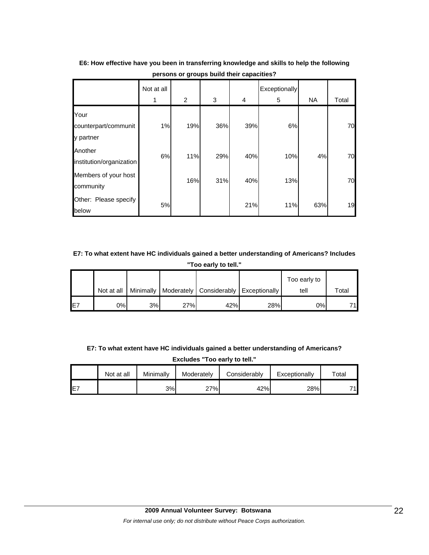|                          | Not at all |                |     |     | Exceptionally |           |       |
|--------------------------|------------|----------------|-----|-----|---------------|-----------|-------|
|                          |            | $\overline{2}$ | 3   | 4   | 5             | <b>NA</b> | Total |
| Your                     |            |                |     |     |               |           |       |
| counterpart/communit     | 1%         | 19%            | 36% | 39% | 6%            |           | 70    |
| y partner                |            |                |     |     |               |           |       |
| Another                  | 6%         | 11%            | 29% | 40% | 10%           | 4%        | 70    |
| institution/organization |            |                |     |     |               |           |       |
| Members of your host     |            |                |     |     |               |           |       |
| community                |            | 16%            | 31% | 40% | 13%           |           | 70    |
| Other: Please specify    |            |                |     |     |               |           |       |
| below                    | 5%         |                |     | 21% | 11%           | 63%       | 19    |

**E6: How effective have you been in transferring knowledge and skills to help the following persons or groups build their capacities?**

# **E7: To what extent have HC individuals gained a better understanding of Americans? Includes**

**"Too early to tell."**

|     |            |    |     |                                                       |     | Too early to |       |
|-----|------------|----|-----|-------------------------------------------------------|-----|--------------|-------|
|     | Not at all |    |     | Minimally   Moderately   Considerably   Exceptionally |     | tell         | Total |
| IE7 | 0%I        | 3% | 27% | 42%                                                   | 28% | 0%           | 71    |

# **E7: To what extent have HC individuals gained a better understanding of Americans? Excludes "Too early to tell."**

|     | Not at all | Minimally | Moderately | Considerably | Exceptionally | Total |
|-----|------------|-----------|------------|--------------|---------------|-------|
| IE7 |            | 3%        | 27%        | 42%          | 28%           | 71    |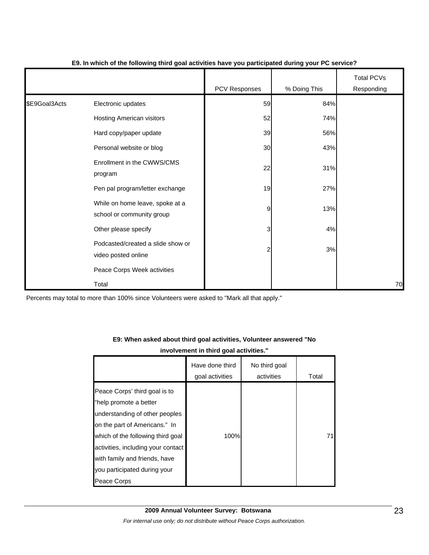|               |                                                              | PCV Responses | % Doing This | <b>Total PCVs</b><br>Responding |
|---------------|--------------------------------------------------------------|---------------|--------------|---------------------------------|
| \$E9Goal3Acts | Electronic updates                                           | 59            | 84%          |                                 |
|               | Hosting American visitors                                    | 52            | 74%          |                                 |
|               | Hard copy/paper update                                       | 39            | 56%          |                                 |
|               | Personal website or blog                                     | 30            | 43%          |                                 |
|               | Enrollment in the CWWS/CMS<br>program                        | 22            | 31%          |                                 |
|               | Pen pal program/letter exchange                              | 19            | 27%          |                                 |
|               | While on home leave, spoke at a<br>school or community group | 9             | 13%          |                                 |
|               | Other please specify                                         | 3             | 4%           |                                 |
|               | Podcasted/created a slide show or<br>video posted online     | 2             | 3%           |                                 |
|               | Peace Corps Week activities                                  |               |              |                                 |
|               | Total                                                        |               |              | 70                              |

#### **E9. In which of the following third goal activities have you participated during your PC service?**

Percents may total to more than 100% since Volunteers were asked to "Mark all that apply."

# **E9: When asked about third goal activities, Volunteer answered "No**

**involvement in third goal activities."** 

|                                                                                                                                                                                                                                                                                       | Have done third<br>goal activities | No third goal<br>activities | Total |
|---------------------------------------------------------------------------------------------------------------------------------------------------------------------------------------------------------------------------------------------------------------------------------------|------------------------------------|-----------------------------|-------|
| Peace Corps' third goal is to<br>"help promote a better<br>understanding of other peoples<br>on the part of Americans." In<br>which of the following third goal<br>activities, including your contact<br>with family and friends, have<br>you participated during your<br>Peace Corps | 100%                               |                             | 71    |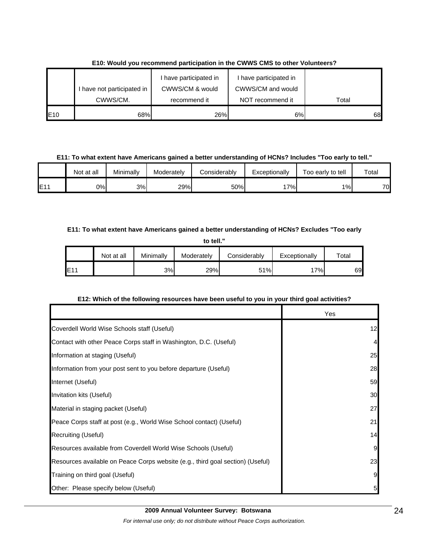|                 |                            | I have participated in | I have participated in |       |
|-----------------|----------------------------|------------------------|------------------------|-------|
|                 | I have not participated in | CWWS/CM & would        | CWWS/CM and would      |       |
|                 | CWWS/CM.                   | recommend it           | NOT recommend it       | Total |
| E <sub>10</sub> | 68%                        | 26%                    | 6%                     | 68    |

**E10: Would you recommend participation in the CWWS CMS to other Volunteers?**

### **E11: To what extent have Americans gained a better understanding of HCNs? Includes "Too early to tell."**

|     | Not at all | $\mathbf{A}$<br>Minimally | Moderately | <b>Considerably</b> | Exceptionally | Too early to tell | Total |
|-----|------------|---------------------------|------------|---------------------|---------------|-------------------|-------|
| E1' | 0%l        | 3%                        | 29%        | 50%                 | 7%            | 1%                | 70    |

# **E11: To what extent have Americans gained a better understanding of HCNs? Excludes "Too early**

| to tell."       |            |           |            |              |               |       |  |
|-----------------|------------|-----------|------------|--------------|---------------|-------|--|
|                 | Not at all | Minimally | Moderately | Considerably | Exceptionally | ™otal |  |
| E <sub>11</sub> |            | 3%        | 29%        | 51%          | 17%           | 69    |  |

# **E12: Which of the following resources have been useful to you in your third goal activities?**

|                                                                                | Yes            |
|--------------------------------------------------------------------------------|----------------|
| Coverdell World Wise Schools staff (Useful)                                    | 12             |
| Contact with other Peace Corps staff in Washington, D.C. (Useful)              | $\overline{a}$ |
| Information at staging (Useful)                                                | 25             |
| Information from your post sent to you before departure (Useful)               | 28             |
| Internet (Useful)                                                              | 59             |
| Invitation kits (Useful)                                                       | 30             |
| Material in staging packet (Useful)                                            | 27             |
| Peace Corps staff at post (e.g., World Wise School contact) (Useful)           | 21             |
| Recruiting (Useful)                                                            | 14             |
| Resources available from Coverdell World Wise Schools (Useful)                 | 9              |
| Resources available on Peace Corps website (e.g., third goal section) (Useful) | 23             |
| Training on third goal (Useful)                                                | 9              |
| Other: Please specify below (Useful)                                           | 5              |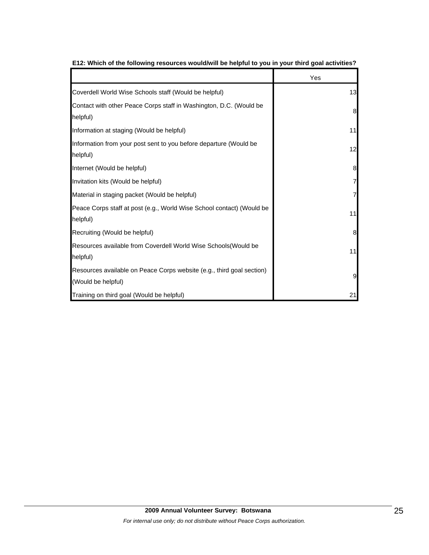|                                                                                             | Yes |
|---------------------------------------------------------------------------------------------|-----|
| Coverdell World Wise Schools staff (Would be helpful)                                       | 13  |
| Contact with other Peace Corps staff in Washington, D.C. (Would be<br>helpful)              | 8   |
| Information at staging (Would be helpful)                                                   | 11  |
| Information from your post sent to you before departure (Would be<br>helpful)               | 12  |
| Internet (Would be helpful)                                                                 | 8   |
| Invitation kits (Would be helpful)                                                          | 7   |
| Material in staging packet (Would be helpful)                                               | 71  |
| Peace Corps staff at post (e.g., World Wise School contact) (Would be<br>helpful)           | 11  |
| Recruiting (Would be helpful)                                                               | 8   |
| Resources available from Coverdell World Wise Schools(Would be<br>helpful)                  | 11  |
| Resources available on Peace Corps website (e.g., third goal section)<br>(Would be helpful) | 9   |
| Training on third goal (Would be helpful)                                                   | 21  |

| E12: Which of the following resources would/will be helpful to you in your third goal activities? |  |
|---------------------------------------------------------------------------------------------------|--|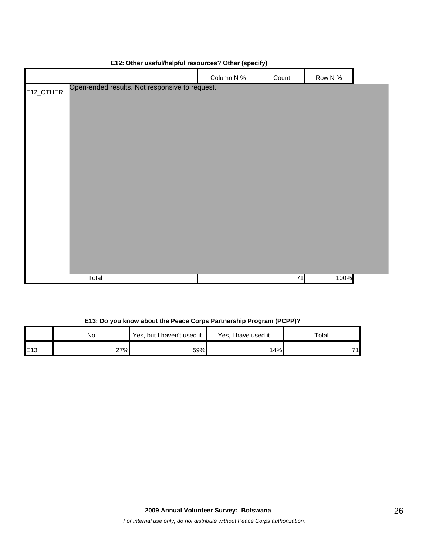|           |                                                | $\ddot{\phantom{a}}$ | .,    |         |  |
|-----------|------------------------------------------------|----------------------|-------|---------|--|
|           |                                                | Column N %           | Count | Row N % |  |
| E12_OTHER | Open-ended results. Not responsive to request. |                      |       |         |  |
|           |                                                |                      |       |         |  |
|           |                                                |                      |       |         |  |
|           |                                                |                      |       |         |  |
|           |                                                |                      |       |         |  |
|           |                                                |                      |       |         |  |
|           |                                                |                      |       |         |  |
|           |                                                |                      |       |         |  |
|           |                                                |                      |       |         |  |
|           |                                                |                      |       |         |  |
|           |                                                |                      |       |         |  |
|           |                                                |                      |       |         |  |
|           |                                                |                      |       |         |  |
|           |                                                |                      |       |         |  |
|           | Total                                          |                      | 71    | 100%    |  |
|           |                                                |                      |       |         |  |

# **E12: Other useful/helpful resources? Other (specify)**

### **E13: Do you know about the Peace Corps Partnership Program (PCPP)?**

|     | No  | Yes, but I haven't used it. | Yes, I have used it. | Total |
|-----|-----|-----------------------------|----------------------|-------|
| E13 | 27% | 59%                         | 14%                  | 74    |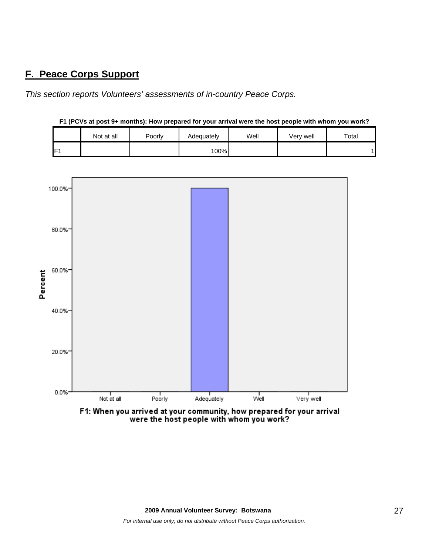# **F. Peace Corps Support**

*This section reports Volunteers' assessments of in-country Peace Corps.*

| F1 (PCVs at post 9+ months): How prepared for your arrival were the host people with whom you work? |  |
|-----------------------------------------------------------------------------------------------------|--|
|                                                                                                     |  |

|                | Not at all | Poorly | Adequately | Well | Very well | Total |
|----------------|------------|--------|------------|------|-----------|-------|
| E <sub>1</sub> |            |        | 100%       |      |           |       |



F1: When you arrived at your community, how prepared for your arrival<br>were the host people with whom you work?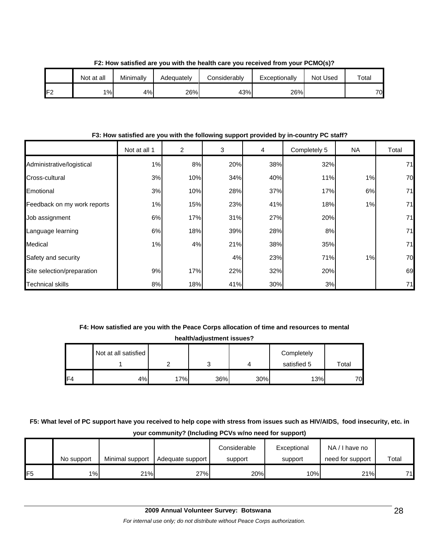|     | Not at all | Minimally | Adequatelv | Considerably | Exceptionally | Not Used | Total |
|-----|------------|-----------|------------|--------------|---------------|----------|-------|
| IF2 | 1%         | 4%        | 26%        | 43%          | 26%           |          | 70    |

**F2: How satisfied are you with the health care you received from your PCMO(s)?**

**F3: How satisfied are you with the following support provided by in-country PC staff?**

|                             | Not at all 1 | $\overline{2}$ | 3   | $\overline{4}$ | Completely 5 | <b>NA</b> | Total |
|-----------------------------|--------------|----------------|-----|----------------|--------------|-----------|-------|
| Administrative/logistical   | 1%           | 8%             | 20% | 38%            | 32%          |           | 71    |
| Cross-cultural              | 3%           | 10%            | 34% | 40%            | 11%          | 1%        | 70    |
| Emotional                   | 3%           | 10%            | 28% | 37%            | 17%          | 6%        | 71    |
| Feedback on my work reports | 1%           | 15%            | 23% | 41%            | 18%          | 1%        | 71    |
| Job assignment              | 6%           | 17%            | 31% | 27%            | 20%          |           | 71    |
| Language learning           | 6%           | 18%            | 39% | 28%            | 8%           |           | 71    |
| Medical                     | 1%           | 4%             | 21% | 38%            | 35%          |           | 71    |
| Safety and security         |              |                | 4%  | 23%            | 71%          | 1%        | 70    |
| Site selection/preparation  | 9%           | 17%            | 22% | 32%            | 20%          |           | 69    |
| <b>Technical skills</b>     | 8%           | 18%            | 41% | 30%            | 3%           |           | 71    |

# **F4: How satisfied are you with the Peace Corps allocation of time and resources to mental**

**health/adjustment issues?**

|     | Not at all satisfied |     |        |     | Completely  |             |
|-----|----------------------|-----|--------|-----|-------------|-------------|
|     |                      |     | ⌒<br>ັ |     | satisfied 5 | $\tau$ otal |
| IF4 | 4%                   | 17% | 36%    | 30% | 13%         | 70          |

**F5: What level of PC support have you received to help cope with stress from issues such as HIV/AIDS, food insecurity, etc. in your community? (Including PCVs w/no need for support)**

|                 |            |                 |                  | Considerable | Exceptional | NA/I have no     |       |
|-----------------|------------|-----------------|------------------|--------------|-------------|------------------|-------|
|                 | No support | Minimal support | Adequate support | support      | support     | need for support | Total |
| IF <sub>5</sub> | $1\%$      | 21%             | 27%              | 20%          | 10%         | 21%              | 71.   |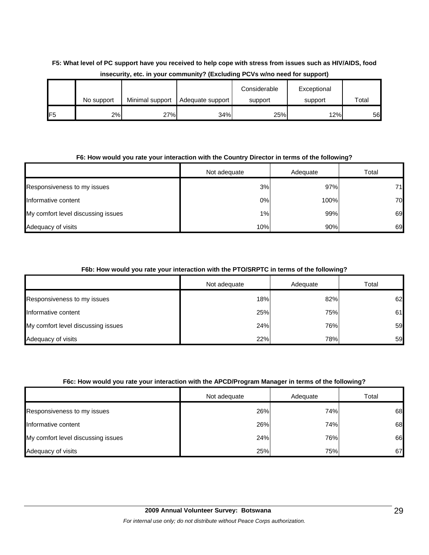# **F5: What level of PC support have you received to help cope with stress from issues such as HIV/AIDS, food insecurity, etc. in your community? (Excluding PCVs w/no need for support)**

|                 |            |                 |                  | Considerable | Exceptional |       |
|-----------------|------------|-----------------|------------------|--------------|-------------|-------|
|                 | No support | Minimal support | Adequate support | support      | support     | Total |
| IF <sub>5</sub> | 2%l        | 27%             | 34%              | 25%          | 12%         | 56    |

## **F6: How would you rate your interaction with the Country Director in terms of the following?**

|                                    | Not adequate | Adequate | Total |
|------------------------------------|--------------|----------|-------|
| Responsiveness to my issues        | 3%           | 97%      | 71.   |
| Informative content                | 0%           | 100%     | 70    |
| My comfort level discussing issues | 1%           | 99%      | 69    |
| Adequacy of visits                 | 10%          | 90%      | 69    |

# **F6b: How would you rate your interaction with the PTO/SRPTC in terms of the following?**

|                                    | Not adequate | Adequate | Total |
|------------------------------------|--------------|----------|-------|
| Responsiveness to my issues        | 18%          | 82%      | 62    |
| Informative content                | 25%          | 75%      | 61    |
| My comfort level discussing issues | 24%          | 76%      | 59    |
| Adequacy of visits                 | 22%          | 78%      | 59    |

## **F6c: How would you rate your interaction with the APCD/Program Manager in terms of the following?**

|                                    | Not adequate | Adequate | Total |
|------------------------------------|--------------|----------|-------|
| Responsiveness to my issues        | 26%          | 74%      | 68    |
| Informative content                | 26%          | 74%      | 68    |
| My comfort level discussing issues | 24%          | 76%      | 66    |
| Adequacy of visits                 | 25%          | 75%      | 67    |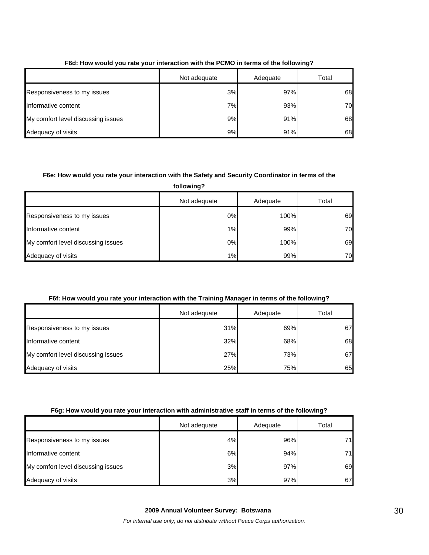|                                    | Not adequate | Adequate | Total |
|------------------------------------|--------------|----------|-------|
| Responsiveness to my issues        | 3%           | 97%      | 68    |
| Informative content                | 7%           | 93%      | 70    |
| My comfort level discussing issues | 9%           | 91%      | 68    |
| Adequacy of visits                 | 9%           | 91%      | 68    |

## **F6d: How would you rate your interaction with the PCMO in terms of the following?**

## **F6e: How would you rate your interaction with the Safety and Security Coordinator in terms of the**

| following?                         |              |          |       |  |  |  |
|------------------------------------|--------------|----------|-------|--|--|--|
|                                    | Not adequate | Adequate | Total |  |  |  |
| Responsiveness to my issues        | 0%           | 100%     | 69    |  |  |  |
| Informative content                | $1\%$        | 99%      | 70    |  |  |  |
| My comfort level discussing issues | 0%           | 100%     | 69    |  |  |  |
| Adequacy of visits                 | 1%           | 99%      | 70    |  |  |  |

#### **F6f: How would you rate your interaction with the Training Manager in terms of the following?**

|                                    | Not adequate | Adequate | Total |
|------------------------------------|--------------|----------|-------|
| Responsiveness to my issues        | 31%          | 69%      | 67    |
| Informative content                | 32%          | 68%      | 68    |
| My comfort level discussing issues | 27%          | 73%      | 67    |
| Adequacy of visits                 | 25%          | 75%      | 65    |

#### **F6g: How would you rate your interaction with administrative staff in terms of the following?**

|                                    | Not adequate | Adequate | Total |
|------------------------------------|--------------|----------|-------|
| Responsiveness to my issues        | 4%           | 96%      | 71    |
| Informative content                | 6%           | 94%      | 71    |
| My comfort level discussing issues | 3%           | 97%      | 69    |
| Adequacy of visits                 | 3%           | 97%      | 67    |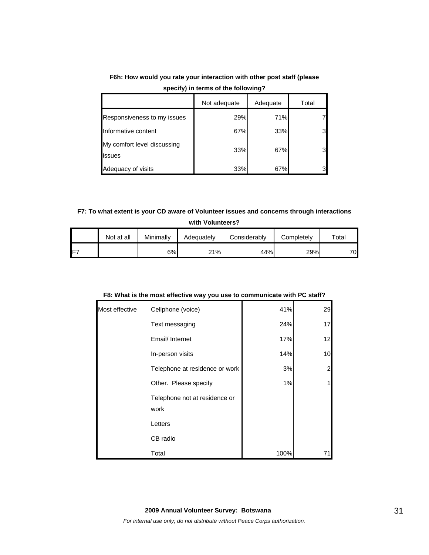|                                       | Not adequate | Adequate | Total |
|---------------------------------------|--------------|----------|-------|
| Responsiveness to my issues           | 29%          | 71%      |       |
| Informative content                   | 67%          | 33%      | 3     |
| My comfort level discussing<br>issues | 33%          | 67%      | 3     |
| Adequacy of visits                    | 33%          | 67%      |       |

**F6h: How would you rate your interaction with other post staff (please specify) in terms of the following?**

# **F7: To what extent is your CD aware of Volunteer issues and concerns through interactions with Volunteers?**

|    | Not at all | Minimally | Adeguatelv | Considerably | Completely | $\tau$ otal     |
|----|------------|-----------|------------|--------------|------------|-----------------|
| F7 |            | 6%        | 21%        | 44%          | 29%        | 70 <sub>l</sub> |

#### **F8: What is the most effective way you use to communicate with PC staff?**

| Most effective | Cellphone (voice)                     | 41%  | 29 |
|----------------|---------------------------------------|------|----|
|                | Text messaging                        | 24%  | 17 |
|                | Email/ Internet                       | 17%  | 12 |
|                | In-person visits                      | 14%  | 10 |
|                | Telephone at residence or work        | 3%   | 2  |
|                | Other. Please specify                 | 1%   |    |
|                | Telephone not at residence or<br>work |      |    |
|                | Letters                               |      |    |
|                | CB radio                              |      |    |
|                | Total                                 | 100% | 71 |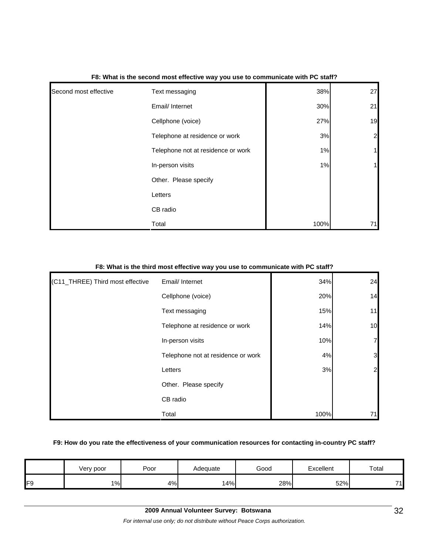| Second most effective | Text messaging                     | 38%  | 27             |
|-----------------------|------------------------------------|------|----------------|
|                       | Email/ Internet                    | 30%  | 21             |
|                       | Cellphone (voice)                  | 27%  | 19             |
|                       | Telephone at residence or work     | 3%   | $\overline{2}$ |
|                       | Telephone not at residence or work | 1%   | $\mathbf{1}$   |
|                       | In-person visits                   | 1%   | $\mathbf{1}$   |
|                       | Other. Please specify              |      |                |
|                       | Letters                            |      |                |
|                       | CB radio                           |      |                |
|                       | Total                              | 100% | 71             |

### **F8: What is the second most effective way you use to communicate with PC staff?**

# **F8: What is the third most effective way you use to communicate with PC staff?**

| (C11_THREE) Third most effective | Email/ Internet                    | 34%  | 24             |
|----------------------------------|------------------------------------|------|----------------|
|                                  | Cellphone (voice)                  | 20%  | 14             |
|                                  | Text messaging                     | 15%  | 11             |
|                                  | Telephone at residence or work     | 14%  | 10             |
|                                  | In-person visits                   | 10%  | 7              |
|                                  | Telephone not at residence or work | 4%   | 3              |
|                                  | Letters                            | 3%   | $\overline{a}$ |
|                                  | Other. Please specify              |      |                |
|                                  | CB radio                           |      |                |
|                                  | Total                              | 100% | 71             |

#### **F9: How do you rate the effectiveness of your communication resources for contacting in-country PC staff?**

|    | Very poor | Poor | Adequate | Good | Excellent | Total |
|----|-----------|------|----------|------|-----------|-------|
| F۵ | 1%        | 4%   | 14%      | 28%  | 52%       | 74    |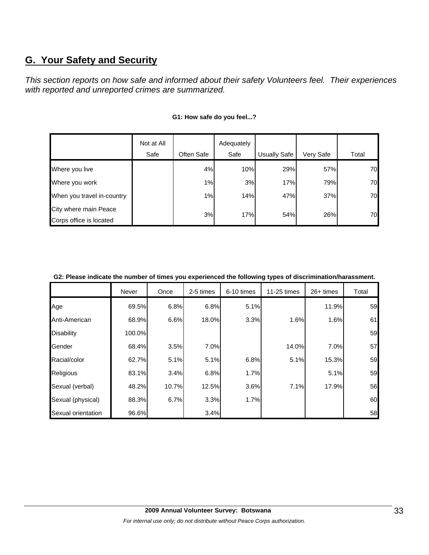# **G. Your Safety and Security**

*This section reports on how safe and informed about their safety Volunteers feel. Their experiences with reported and unreported crimes are summarized.* 

|                            | Not at All |            | Adequately |              |           |       |
|----------------------------|------------|------------|------------|--------------|-----------|-------|
|                            | Safe       | Often Safe | Safe       | Usually Safe | Very Safe | Total |
| Where you live             |            | 4%         | 10%        | 29%          | 57%       | 70    |
| Where you work             |            | 1%         | 3%         | 17%          | 79%       | 70    |
| When you travel in-country |            | 1%         | 14%        | 47%          | 37%       | 70    |
| City where main Peace      |            |            | 17%        | 54%          | 26%       | 70    |
| Corps office is located    |            | 3%         |            |              |           |       |

#### **G1: How safe do you feel...?**

| G2: Please indicate the number of times you experienced the following types of discrimination/harassment. |  |
|-----------------------------------------------------------------------------------------------------------|--|
|                                                                                                           |  |

|                    | Never  | Once  | 2-5 times | 6-10 times | 11-25 times | $26+$ times | Total |
|--------------------|--------|-------|-----------|------------|-------------|-------------|-------|
| Age                | 69.5%  | 6.8%  | 6.8%      | 5.1%       |             | 11.9%       | 59    |
| Anti-American      | 68.9%  | 6.6%  | 18.0%     | 3.3%       | 1.6%        | 1.6%        | 61    |
| <b>Disability</b>  | 100.0% |       |           |            |             |             | 59    |
| Gender             | 68.4%  | 3.5%  | 7.0%      |            | 14.0%       | 7.0%        | 57    |
| Racial/color       | 62.7%  | 5.1%  | 5.1%      | 6.8%       | 5.1%        | 15.3%       | 59    |
| Religious          | 83.1%  | 3.4%  | 6.8%      | 1.7%       |             | 5.1%        | 59    |
| Sexual (verbal)    | 48.2%  | 10.7% | 12.5%     | 3.6%       | 7.1%        | 17.9%       | 56    |
| Sexual (physical)  | 88.3%  | 6.7%  | 3.3%      | 1.7%       |             |             | 60    |
| Sexual orientation | 96.6%  |       | 3.4%      |            |             |             | 58    |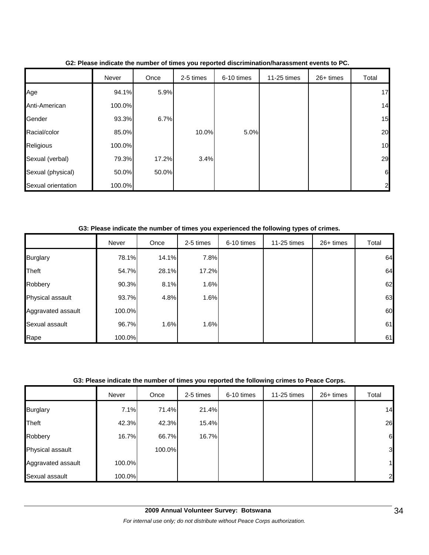|                    | Never  | Once  | 2-5 times | 6-10 times | 11-25 times | 26+ times | Total          |
|--------------------|--------|-------|-----------|------------|-------------|-----------|----------------|
| Age                | 94.1%  | 5.9%  |           |            |             |           | 17             |
| Anti-American      | 100.0% |       |           |            |             |           | 14             |
| Gender             | 93.3%  | 6.7%  |           |            |             |           | 15             |
| Racial/color       | 85.0%  |       | 10.0%     | 5.0%       |             |           | 20             |
| Religious          | 100.0% |       |           |            |             |           | 10             |
| Sexual (verbal)    | 79.3%  | 17.2% | 3.4%      |            |             |           | 29             |
| Sexual (physical)  | 50.0%  | 50.0% |           |            |             |           | 6              |
| Sexual orientation | 100.0% |       |           |            |             |           | $\overline{2}$ |

**G2: Please indicate the number of times you reported discrimination/harassment events to PC.**

**G3: Please indicate the number of times you experienced the following types of crimes.**

|                    | Never  | Once  | 2-5 times | 6-10 times | 11-25 times | $26+ times$ | Total |
|--------------------|--------|-------|-----------|------------|-------------|-------------|-------|
| <b>Burglary</b>    | 78.1%  | 14.1% | 7.8%      |            |             |             | 64    |
| Theft              | 54.7%  | 28.1% | 17.2%     |            |             |             | 64    |
| Robbery            | 90.3%  | 8.1%  | 1.6%      |            |             |             | 62    |
| Physical assault   | 93.7%  | 4.8%  | 1.6%      |            |             |             | 63    |
| Aggravated assault | 100.0% |       |           |            |             |             | 60    |
| Sexual assault     | 96.7%  | 1.6%  | 1.6%      |            |             |             | 61    |
| Rape               | 100.0% |       |           |            |             |             | 61    |

## **G3: Please indicate the number of times you reported the following crimes to Peace Corps.**

|                    | Never  | Once   | 2-5 times | 6-10 times | 11-25 times | 26+ times | Total |
|--------------------|--------|--------|-----------|------------|-------------|-----------|-------|
| <b>Burglary</b>    | 7.1%   | 71.4%  | 21.4%     |            |             |           | 14    |
| Theft              | 42.3%  | 42.3%  | 15.4%     |            |             |           | 26    |
| Robbery            | 16.7%  | 66.7%  | 16.7%     |            |             |           | 6     |
| Physical assault   |        | 100.0% |           |            |             |           | 3     |
| Aggravated assault | 100.0% |        |           |            |             |           | 1     |
| Sexual assault     | 100.0% |        |           |            |             |           | 2     |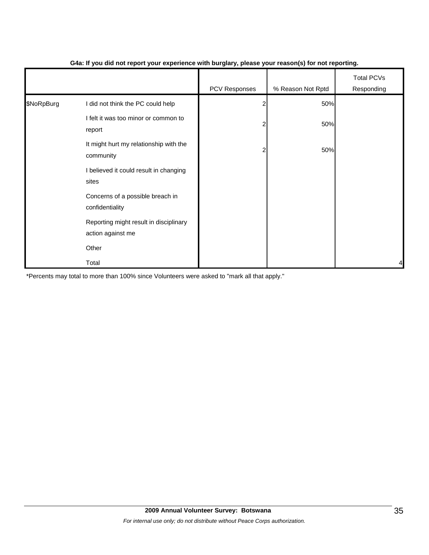|            |                                                             | - - -         | $\mathbf{v}$      | . .                             |
|------------|-------------------------------------------------------------|---------------|-------------------|---------------------------------|
|            |                                                             | PCV Responses | % Reason Not Rptd | <b>Total PCVs</b><br>Responding |
| \$NoRpBurg | I did not think the PC could help                           |               | 50%               |                                 |
|            | I felt it was too minor or common to<br>report              |               | 50%               |                                 |
|            | It might hurt my relationship with the<br>community         |               | 50%               |                                 |
|            | I believed it could result in changing<br>sites             |               |                   |                                 |
|            | Concerns of a possible breach in<br>confidentiality         |               |                   |                                 |
|            | Reporting might result in disciplinary<br>action against me |               |                   |                                 |
|            | Other                                                       |               |                   |                                 |
|            | Total                                                       |               |                   |                                 |

### **G4a: If you did not report your experience with burglary, please your reason(s) for not reporting.**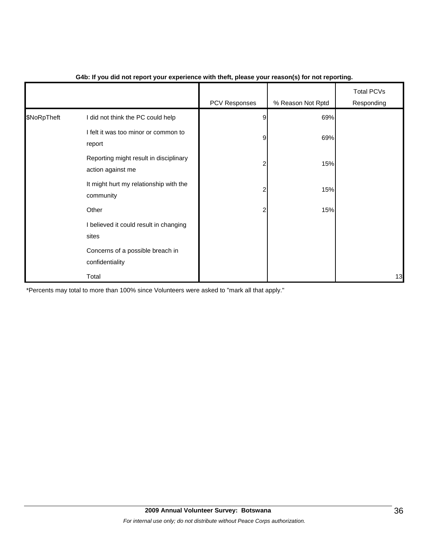|             |                                                             | PCV Responses | % Reason Not Rptd | Total PCVs<br>Responding |
|-------------|-------------------------------------------------------------|---------------|-------------------|--------------------------|
| \$NoRpTheft | I did not think the PC could help                           | 9             | 69%               |                          |
|             | I felt it was too minor or common to<br>report              | 9             | 69%               |                          |
|             | Reporting might result in disciplinary<br>action against me |               | 15%               |                          |
|             | It might hurt my relationship with the<br>community         |               | 15%               |                          |
|             | Other                                                       |               | 15%               |                          |
|             | I believed it could result in changing<br>sites             |               |                   |                          |
|             | Concerns of a possible breach in<br>confidentiality         |               |                   |                          |
|             | Total                                                       |               |                   | 13                       |

## **G4b: If you did not report your experience with theft, please your reason(s) for not reporting.**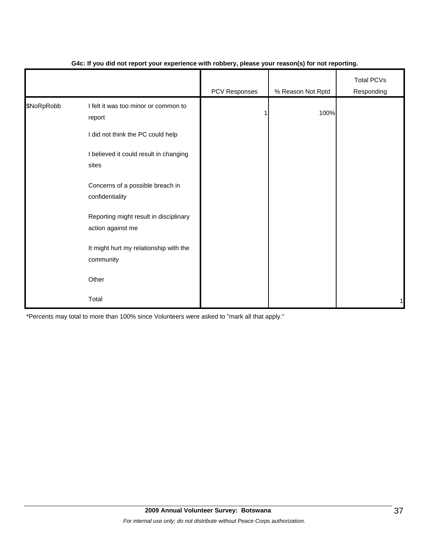|            |                                                             | PCV Responses | % Reason Not Rptd | <b>Total PCVs</b><br>Responding |
|------------|-------------------------------------------------------------|---------------|-------------------|---------------------------------|
| \$NoRpRobb | I felt it was too minor or common to<br>report              |               | 100%              |                                 |
|            | I did not think the PC could help                           |               |                   |                                 |
|            | I believed it could result in changing<br>sites             |               |                   |                                 |
|            | Concerns of a possible breach in<br>confidentiality         |               |                   |                                 |
|            | Reporting might result in disciplinary<br>action against me |               |                   |                                 |
|            | It might hurt my relationship with the<br>community         |               |                   |                                 |
|            | Other                                                       |               |                   |                                 |
|            | Total                                                       |               |                   | 1                               |

### **G4c: If you did not report your experience with robbery, please your reason(s) for not reporting.**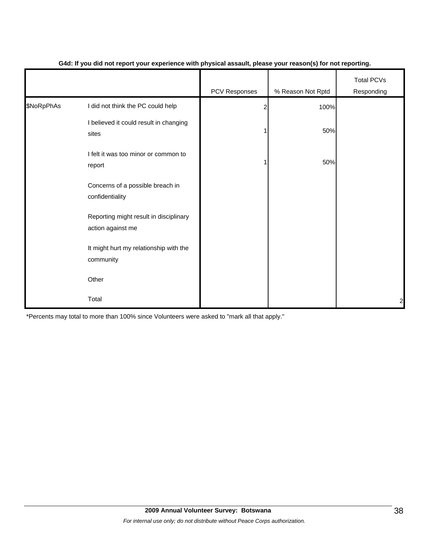|            |                                                             | PCV Responses  | % Reason Not Rptd | <b>Total PCVs</b><br>Responding |
|------------|-------------------------------------------------------------|----------------|-------------------|---------------------------------|
| \$NoRpPhAs | I did not think the PC could help                           | $\overline{2}$ | 100%              |                                 |
|            | I believed it could result in changing<br>sites             |                | 50%               |                                 |
|            | I felt it was too minor or common to<br>report              |                | 50%               |                                 |
|            | Concerns of a possible breach in<br>confidentiality         |                |                   |                                 |
|            | Reporting might result in disciplinary<br>action against me |                |                   |                                 |
|            | It might hurt my relationship with the<br>community         |                |                   |                                 |
|            | Other                                                       |                |                   |                                 |
|            | Total                                                       |                |                   | $\mathbf{2}$                    |

### **G4d: If you did not report your experience with physical assault, please your reason(s) for not reporting.**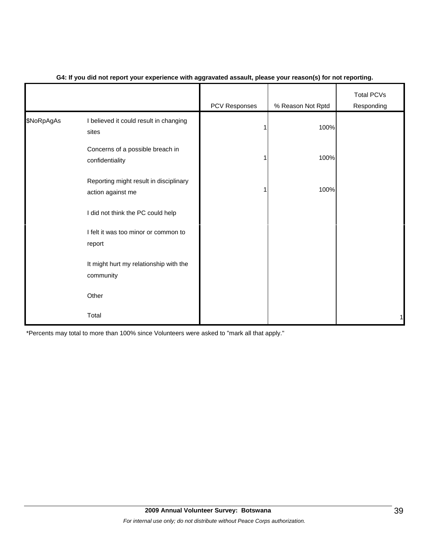|            |                                                             | PCV Responses | % Reason Not Rptd | <b>Total PCVs</b><br>Responding |
|------------|-------------------------------------------------------------|---------------|-------------------|---------------------------------|
| \$NoRpAgAs | I believed it could result in changing<br>sites             |               | 100%              |                                 |
|            | Concerns of a possible breach in<br>confidentiality         |               | 100%              |                                 |
|            | Reporting might result in disciplinary<br>action against me |               | 100%              |                                 |
|            | I did not think the PC could help                           |               |                   |                                 |
|            | I felt it was too minor or common to<br>report              |               |                   |                                 |
|            | It might hurt my relationship with the<br>community         |               |                   |                                 |
|            | Other                                                       |               |                   |                                 |
|            | Total                                                       |               |                   | 1                               |

### **G4: If you did not report your experience with aggravated assault, please your reason(s) for not reporting.**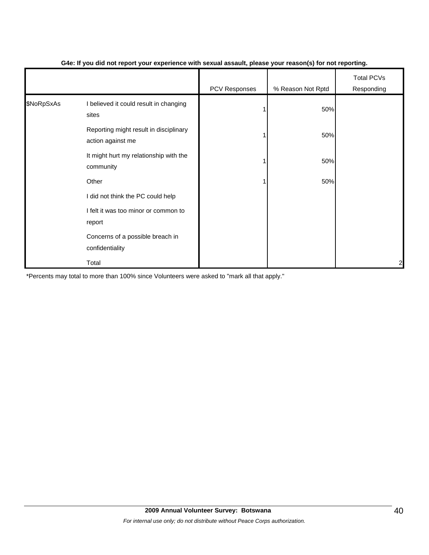|            |                                                             |               | $\ddot{\phantom{1}}$ |                                 |
|------------|-------------------------------------------------------------|---------------|----------------------|---------------------------------|
|            |                                                             | PCV Responses | % Reason Not Rptd    | <b>Total PCVs</b><br>Responding |
| \$NoRpSxAs | I believed it could result in changing<br>sites             |               | 50%                  |                                 |
|            | Reporting might result in disciplinary<br>action against me |               | 50%                  |                                 |
|            | It might hurt my relationship with the<br>community         |               | 50%                  |                                 |
|            | Other                                                       |               | 50%                  |                                 |
|            | I did not think the PC could help                           |               |                      |                                 |
|            | I felt it was too minor or common to<br>report              |               |                      |                                 |
|            | Concerns of a possible breach in<br>confidentiality         |               |                      |                                 |
|            | Total                                                       |               |                      | $\overline{\mathbf{c}}$         |

### **G4e: If you did not report your experience with sexual assault, please your reason(s) for not reporting.**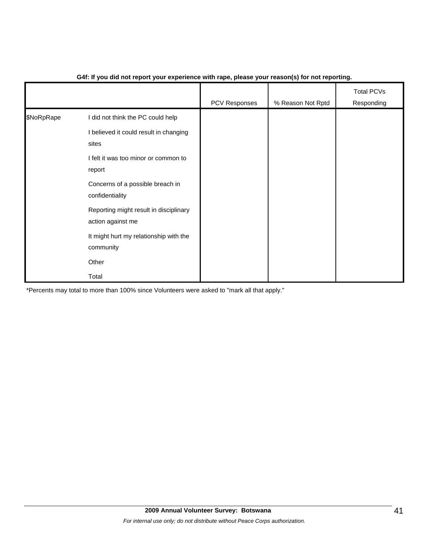|            |                                                             | PCV Responses | % Reason Not Rptd | <b>Total PCVs</b><br>Responding |
|------------|-------------------------------------------------------------|---------------|-------------------|---------------------------------|
| \$NoRpRape | I did not think the PC could help                           |               |                   |                                 |
|            | I believed it could result in changing<br>sites             |               |                   |                                 |
|            | I felt it was too minor or common to<br>report              |               |                   |                                 |
|            | Concerns of a possible breach in<br>confidentiality         |               |                   |                                 |
|            | Reporting might result in disciplinary<br>action against me |               |                   |                                 |
|            | It might hurt my relationship with the<br>community         |               |                   |                                 |
|            | Other                                                       |               |                   |                                 |
|            | Total                                                       |               |                   |                                 |

## **G4f: If you did not report your experience with rape, please your reason(s) for not reporting.**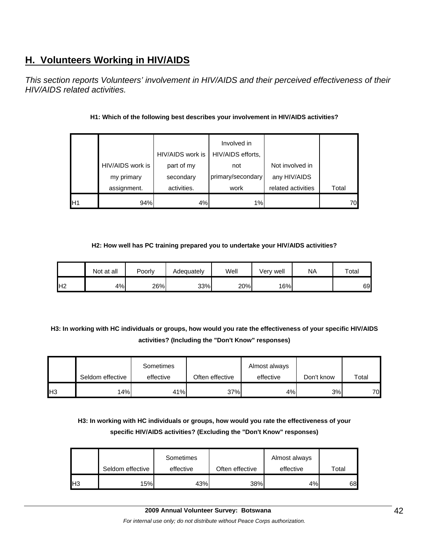# **H. Volunteers Working in HIV/AIDS**

*This section reports Volunteers' involvement in HIV/AIDS and their perceived effectiveness of their HIV/AIDS related activities.* 

|                 |                  |                  | Involved in       |                    |       |
|-----------------|------------------|------------------|-------------------|--------------------|-------|
|                 |                  | HIV/AIDS work is | HIV/AIDS efforts, |                    |       |
|                 | HIV/AIDS work is | part of my       | not               | Not involved in    |       |
|                 | my primary       | secondary        | primary/secondary | any HIV/AIDS       |       |
|                 | assignment.      | activities.      | work              | related activities | Total |
| IH <sub>1</sub> | 94%              | 4%               | 1%                |                    | 70    |

# **H1: Which of the following best describes your involvement in HIV/AIDS activities?**

### **H2: How well has PC training prepared you to undertake your HIV/AIDS activities?**

|                 | Not at all | Poorly | Adequately | Well | Very well | ΝA | Total |
|-----------------|------------|--------|------------|------|-----------|----|-------|
| IH <sub>2</sub> | 4%         | 26%    | 33%        | 20%  | 16%       |    | 69    |

# **H3: In working with HC individuals or groups, how would you rate the effectiveness of your specific HIV/AIDS activities? (Including the "Don't Know" responses)**

|            |                  | Sometimes |                 | Almost always |            |       |
|------------|------------------|-----------|-----------------|---------------|------------|-------|
|            | Seldom effective | effective | Often effective | effective     | Don't know | Total |
| <b>H</b> 3 | 14%              | 41%       | 37%             | 4%            | 3%         | 70    |

# **H3: In working with HC individuals or groups, how would you rate the effectiveness of your specific HIV/AIDS activities? (Excluding the "Don't Know" responses)**

|    | Seldom effective | Sometimes<br>effective | Often effective | Almost always<br>effective | $\tau$ otal |
|----|------------------|------------------------|-----------------|----------------------------|-------------|
| H3 | 15%              | 43%                    | 38%             | 4%                         | 68          |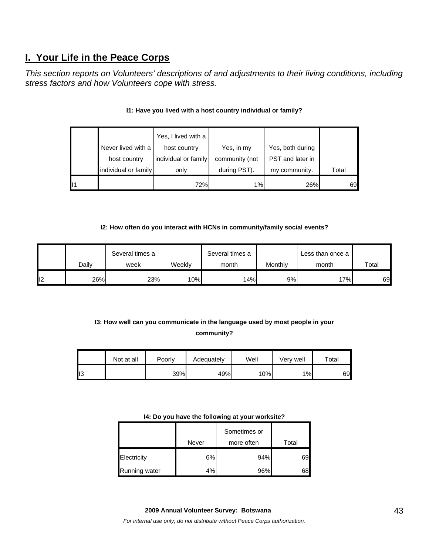# **I. Your Life in the Peace Corps**

*This section reports on Volunteers' descriptions of and adjustments to their living conditions, including stress factors and how Volunteers cope with stress.* 

|    | Never lived with a<br>host country | Yes, I lived with a<br>host country<br>individual or family | Yes, in my<br>community (not | Yes, both during<br>PST and later in |       |
|----|------------------------------------|-------------------------------------------------------------|------------------------------|--------------------------------------|-------|
|    | individual or family               | only                                                        | during PST).                 | my community.                        | Total |
| l1 |                                    | 72%                                                         | 1%                           | 26%                                  | 69    |

# **I1: Have you lived with a host country individual or family?**

## **I2: How often do you interact with HCNs in community/family social events?**

|     | Several times a |      | Several times a |       | Less than once a |       |       |
|-----|-----------------|------|-----------------|-------|------------------|-------|-------|
|     | Daily           | week | Weekly          | month | Monthly          | month | Total |
| 112 | 26%             | 23%  | 10%             | 14%   | 9%               | 17%   | 69    |

# **I3: How well can you communicate in the language used by most people in your community?**

|     | Not at all | Poorly | Adequately | Well | Very well | Total |
|-----|------------|--------|------------|------|-----------|-------|
| II3 |            | 39%    | 49%        | 10%  | 1%        | 69    |

#### **I4: Do you have the following at your worksite?**

|               | Sometimes or |            |       |
|---------------|--------------|------------|-------|
|               | Never        | more often | Total |
| Electricity   | 6%           | 94%        | 69    |
| Running water | 4%           | 96%        | 68    |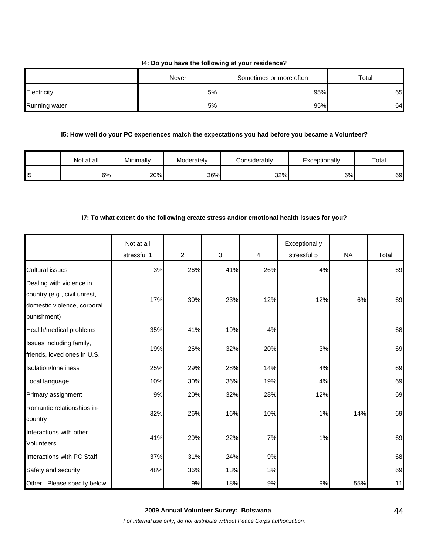### **I4: Do you have the following at your residence?**

|               | Never | Sometimes or more often | Total |
|---------------|-------|-------------------------|-------|
| Electricity   | 5%    | 95%                     | 65    |
| Running water | 5%    | 95%                     | 64    |

### **I5: How well do your PC experiences match the expectations you had before you became a Volunteer?**

|     | Not at all | Minimally | Moderately | Considerably | Exceptionally | Total |
|-----|------------|-----------|------------|--------------|---------------|-------|
| ll5 | 6%         | 20%       | 36%        | 32%          | 6%            | 69    |

## **I7: To what extent do the following create stress and/or emotional health issues for you?**

|                                                                                                        | Not at all<br>stressful 1 | $\overline{2}$ | 3   | 4   | Exceptionally<br>stressful 5 | <b>NA</b> | Total |
|--------------------------------------------------------------------------------------------------------|---------------------------|----------------|-----|-----|------------------------------|-----------|-------|
| <b>Cultural issues</b>                                                                                 | 3%                        | 26%            | 41% | 26% | 4%                           |           | 69    |
| Dealing with violence in<br>country (e.g., civil unrest,<br>domestic violence, corporal<br>punishment) | 17%                       | 30%            | 23% | 12% | 12%                          | 6%        | 69    |
| Health/medical problems                                                                                | 35%                       | 41%            | 19% | 4%  |                              |           | 68    |
| Issues including family,<br>friends, loved ones in U.S.                                                | 19%                       | 26%            | 32% | 20% | 3%                           |           | 69    |
| Isolation/Ioneliness                                                                                   | 25%                       | 29%            | 28% | 14% | 4%                           |           | 69    |
| Local language                                                                                         | 10%                       | 30%            | 36% | 19% | 4%                           |           | 69    |
| Primary assignment                                                                                     | 9%                        | 20%            | 32% | 28% | 12%                          |           | 69    |
| Romantic relationships in-<br>country                                                                  | 32%                       | 26%            | 16% | 10% | 1%                           | 14%       | 69    |
| Interactions with other<br><b>Volunteers</b>                                                           | 41%                       | 29%            | 22% | 7%  | 1%                           |           | 69    |
| Interactions with PC Staff                                                                             | 37%                       | 31%            | 24% | 9%  |                              |           | 68    |
| Safety and security                                                                                    | 48%                       | 36%            | 13% | 3%  |                              |           | 69    |
| Other: Please specify below                                                                            |                           | 9%             | 18% | 9%  | 9%                           | 55%       | 11    |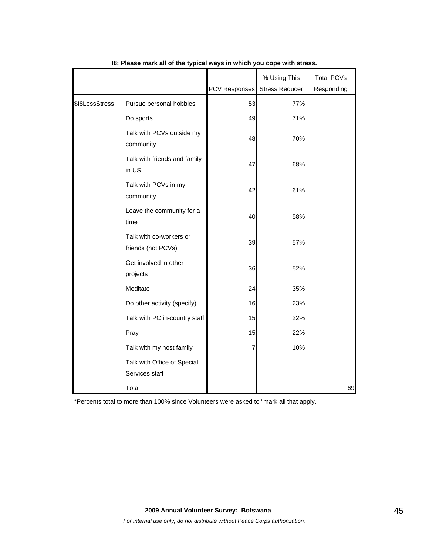|                |                                               |               | % Using This          | <b>Total PCVs</b> |
|----------------|-----------------------------------------------|---------------|-----------------------|-------------------|
|                |                                               | PCV Responses | <b>Stress Reducer</b> | Responding        |
| \$18LessStress | Pursue personal hobbies                       | 53            | 77%                   |                   |
|                | Do sports                                     | 49            | 71%                   |                   |
|                | Talk with PCVs outside my<br>community        | 48            | 70%                   |                   |
|                | Talk with friends and family<br>in US         | 47            | 68%                   |                   |
|                | Talk with PCVs in my<br>community             | 42            | 61%                   |                   |
|                | Leave the community for a<br>time             | 40            | 58%                   |                   |
|                | Talk with co-workers or<br>friends (not PCVs) | 39            | 57%                   |                   |
|                | Get involved in other<br>projects             | 36            | 52%                   |                   |
|                | Meditate                                      | 24            | 35%                   |                   |
|                | Do other activity (specify)                   | 16            | 23%                   |                   |
|                | Talk with PC in-country staff                 | 15            | 22%                   |                   |
|                | Pray                                          | 15            | 22%                   |                   |
|                | Talk with my host family                      | 7             | 10%                   |                   |
|                | Talk with Office of Special<br>Services staff |               |                       |                   |
|                | Total                                         |               |                       | 69                |

## **I8: Please mark all of the typical ways in which you cope with stress.**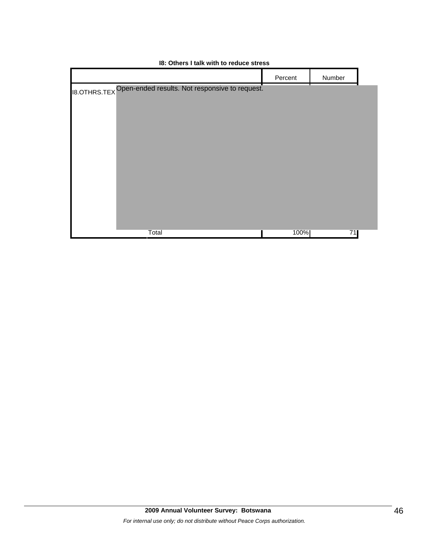|                                                             | Percent | Number |  |
|-------------------------------------------------------------|---------|--------|--|
| 18.OTHRS.TEX Open-ended results. Not responsive to request. |         |        |  |
|                                                             |         |        |  |
|                                                             |         |        |  |
|                                                             |         |        |  |
|                                                             |         |        |  |
|                                                             |         |        |  |
|                                                             |         |        |  |
|                                                             |         |        |  |
|                                                             |         |        |  |
|                                                             |         |        |  |
| Total                                                       | 100%    | 71     |  |

### **I8: Others I talk with to reduce stress**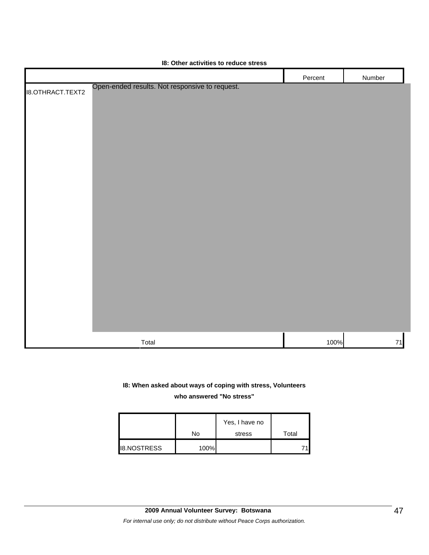|                         |                                                | Percent | Number |
|-------------------------|------------------------------------------------|---------|--------|
|                         | Open-ended results. Not responsive to request. |         |        |
| <b>I8.OTHRACT.TEXT2</b> |                                                |         |        |
|                         |                                                |         |        |
|                         |                                                |         |        |
|                         |                                                |         |        |
|                         |                                                |         |        |
|                         |                                                |         |        |
|                         |                                                |         |        |
|                         |                                                |         |        |
|                         |                                                |         |        |
|                         |                                                |         |        |
|                         |                                                |         |        |
|                         |                                                |         |        |
|                         |                                                |         |        |
|                         |                                                |         |        |
|                         |                                                |         |        |
|                         |                                                |         |        |
|                         |                                                |         |        |
|                         |                                                |         |        |
|                         |                                                |         |        |
|                         |                                                |         |        |
|                         |                                                |         |        |
|                         |                                                |         |        |
|                         |                                                |         |        |
|                         |                                                |         |        |
|                         |                                                |         |        |
|                         | Total                                          | 100%    | $71$   |

# **I8: Other activities to reduce stress**

# **I8: When asked about ways of coping with stress, Volunteers**

**who answered "No stress"** 

|                    | No   | Yes, I have no<br>stress | Total |
|--------------------|------|--------------------------|-------|
| <b>I8.NOSTRESS</b> | 100% |                          |       |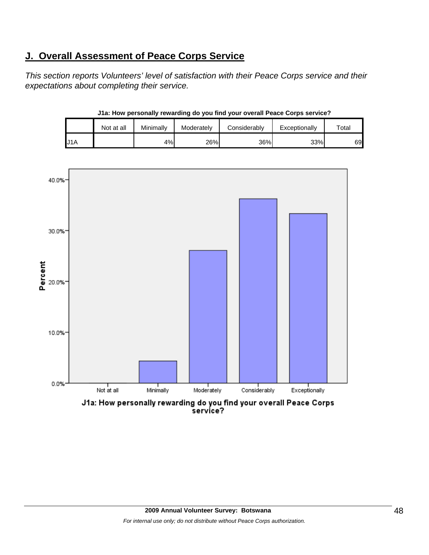# **J. Overall Assessment of Peace Corps Service**

*This section reports Volunteers' level of satisfaction with their Peace Corps service and their expectations about completing their service.*

|     | Not at all | Minimally | Moderately | Considerably | Exceptionally | $\tau$ otal |
|-----|------------|-----------|------------|--------------|---------------|-------------|
| U1A |            | 4%        | 26%        | 36%          | 33%           | 69          |



**J1a: How personally rewarding do you find your overall Peace Corps service?**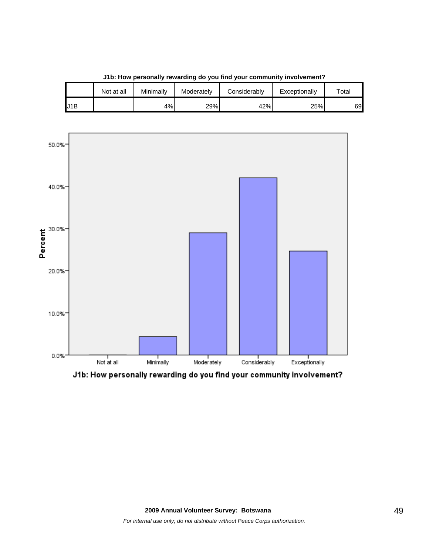

**J1b: How personally rewarding do you find your community involvement?**

J1B 4% 29% 42% 25% 69

Not at all | Minimally | Moderately | Considerably | Exceptionally | Total

J1b: How personally rewarding do you find your community involvement?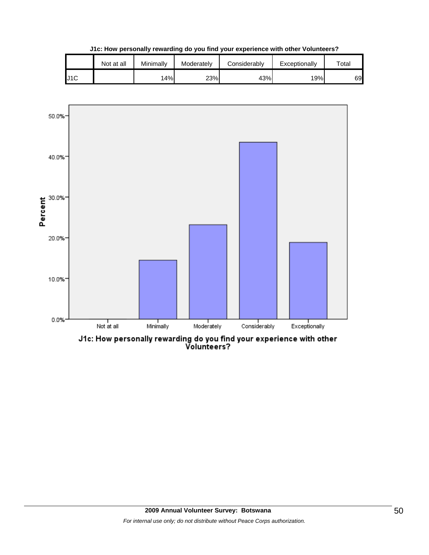

**J1c: How personally rewarding do you find your experience with other Volunteers?**



J1c: How personally rewarding do you find your experience with other<br>Volunteers?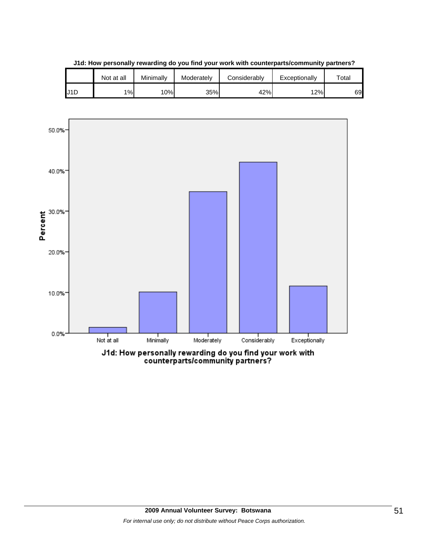

**J1d: How personally rewarding do you find your work with counterparts/community partners?**

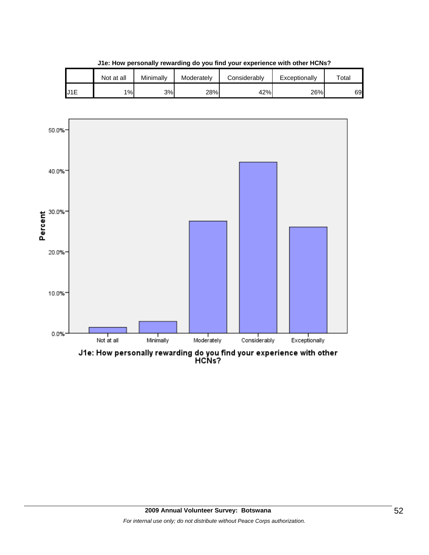|                  | Not at all | Minimallv | Moderately | Considerably | Exceptionally | $\tau$ otal |
|------------------|------------|-----------|------------|--------------|---------------|-------------|
| U <sub>1</sub> E | 1%         | 3%        | 28%        | 42%          | 26%           | 69          |

**J1e: How personally rewarding do you find your experience with other HCNs?**



J1e: How personally rewarding do you find your experience with other<br>HCNs?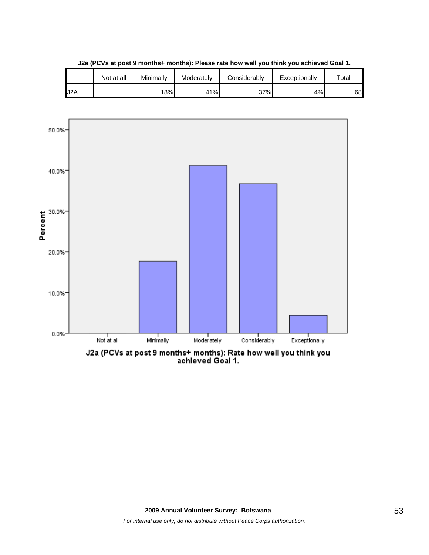

**J2a (PCVs at post 9 months+ months): Please rate how well you think you achieved Goal 1.**

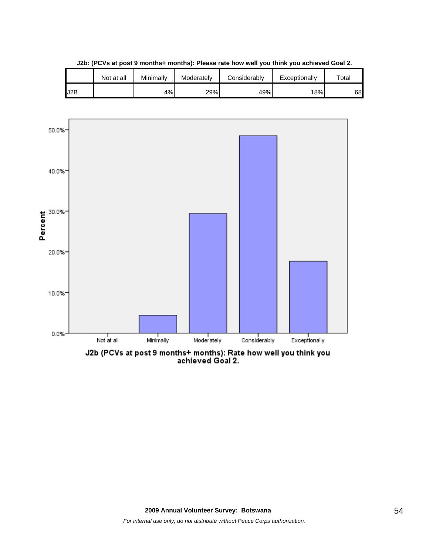|     | Not at all | Minimally | Moderately | Considerably | Exceptionally | Total |
|-----|------------|-----------|------------|--------------|---------------|-------|
|     |            |           |            |              |               |       |
| J2B |            | 4%        | 29%        | 49%          | 18%           | 68    |





J2b (PCVs at post 9 months+ months): Rate how well you think you<br>achieved Goal 2.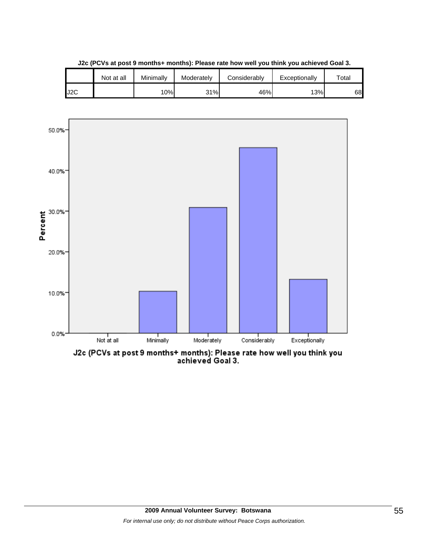

**J2c (PCVs at post 9 months+ months): Please rate how well you think you achieved Goal 3.**



J2c (PCVs at post 9 months+ months): Please rate how well you think you<br>achieved Goal 3.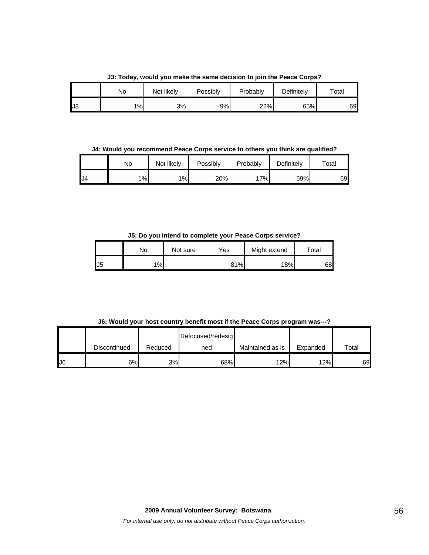|     | No | Not likely | Possibly | Probably | Definitelv | Total |
|-----|----|------------|----------|----------|------------|-------|
| IJЗ | 1% | 3%         | 9%       | 22%      | 65%        | 69    |

**J3: Today, would you make the same decision to join the Peace Corps?**

**J4: Would you recommend Peace Corps service to others you think are qualified?**

|     | No | Not likely | Possibly | Probably | Definitely | Total |
|-----|----|------------|----------|----------|------------|-------|
| IJ4 | 1% | 1%         | 20%      | 17%      | 59%        | 69    |

**J5: Do you intend to complete your Peace Corps service?**

|    | No | Not sure | Yes | Might extend | $\tau$ otal |
|----|----|----------|-----|--------------|-------------|
| J5 | 1% |          | 81% | 18%          | 68          |

**J6: Would your host country benefit most if the Peace Corps program was---?**

|               |              |         | Refocused/redesig |                  |          |       |
|---------------|--------------|---------|-------------------|------------------|----------|-------|
|               | Discontinued | Reduced | ned               | Maintained as is | Expanded | Total |
| $\mathsf{U}6$ | 6%           | 3%      | 68%               | 12%              | 12%      | 69    |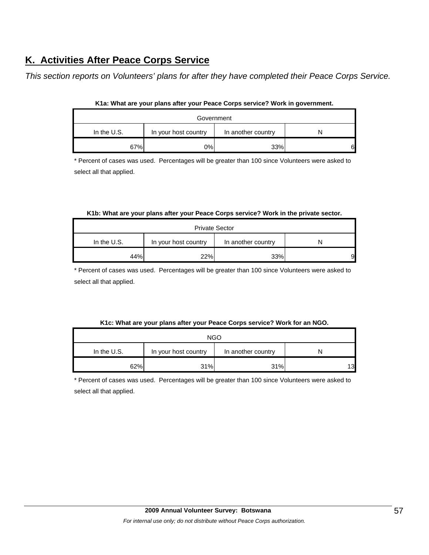# **K. Activities After Peace Corps Service**

*This section reports on Volunteers' plans for after they have completed their Peace Corps Service.* 

| Government    |                      |                    |   |  |  |  |
|---------------|----------------------|--------------------|---|--|--|--|
| In the $U.S.$ | In your host country | In another country |   |  |  |  |
| 67%           | 0%l                  | 33%                | 6 |  |  |  |

|  | K1a: What are your plans after your Peace Corps service? Work in government. |  |
|--|------------------------------------------------------------------------------|--|
|  |                                                                              |  |

\* Percent of cases was used. Percentages will be greater than 100 since Volunteers were asked to select all that applied.

#### **K1b: What are your plans after your Peace Corps service? Work in the private sector.**

| <b>Private Sector</b> |                      |                    |   |  |  |  |
|-----------------------|----------------------|--------------------|---|--|--|--|
| In the U.S.           | In your host country | In another country |   |  |  |  |
| 44%                   | 22%                  | 33%                | 9 |  |  |  |

\* Percent of cases was used. Percentages will be greater than 100 since Volunteers were asked to select all that applied.

#### **K1c: What are your plans after your Peace Corps service? Work for an NGO.**

| <b>NGO</b>  |                      |                    |    |  |  |  |
|-------------|----------------------|--------------------|----|--|--|--|
| In the U.S. | In your host country | In another country |    |  |  |  |
| 62%         | 31%                  | 31%                | 13 |  |  |  |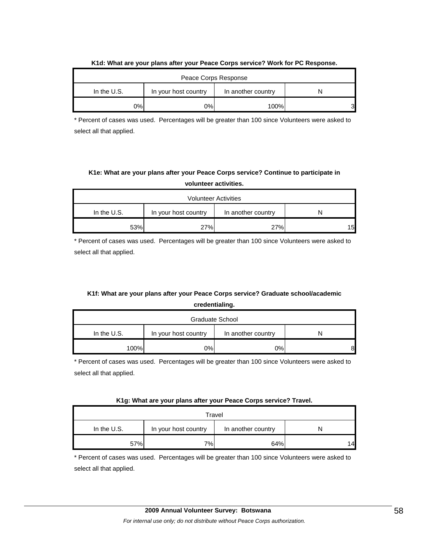| $\frac{1}{2}$ . The contract the position of the contract of the contract $\frac{1}{2}$ . The contract of the components of |                      |                    |  |  |  |  |
|-----------------------------------------------------------------------------------------------------------------------------|----------------------|--------------------|--|--|--|--|
| Peace Corps Response                                                                                                        |                      |                    |  |  |  |  |
| In the $U.S.$                                                                                                               | In your host country | In another country |  |  |  |  |
| 2%1                                                                                                                         | 0%                   | 100%               |  |  |  |  |

#### **K1d: What are your plans after your Peace Corps service? Work for PC Response.**

\* Percent of cases was used. Percentages will be greater than 100 since Volunteers were asked to select all that applied.

# **K1e: What are your plans after your Peace Corps service? Continue to participate in volunteer activities.**

| <b>Volunteer Activities</b>                                 |     |     |     |  |
|-------------------------------------------------------------|-----|-----|-----|--|
| In the $U.S.$<br>In your host country<br>In another country |     |     |     |  |
| 53%                                                         | 27% | 27% | 15I |  |

\* Percent of cases was used. Percentages will be greater than 100 since Volunteers were asked to select all that applied.

# **K1f: What are your plans after your Peace Corps service? Graduate school/academic credentialing.**

| Graduate School                                           |     |    |   |  |
|-----------------------------------------------------------|-----|----|---|--|
| In the U.S.<br>In your host country<br>In another country |     |    |   |  |
| 100%                                                      | 0%I | 0% | 8 |  |

\* Percent of cases was used. Percentages will be greater than 100 since Volunteers were asked to select all that applied.

#### **K1g: What are your plans after your Peace Corps service? Travel.**

| Travel                                                    |    |     |    |  |
|-----------------------------------------------------------|----|-----|----|--|
| In the U.S.<br>In your host country<br>In another country |    |     |    |  |
| 57%                                                       | 7% | 64% | 14 |  |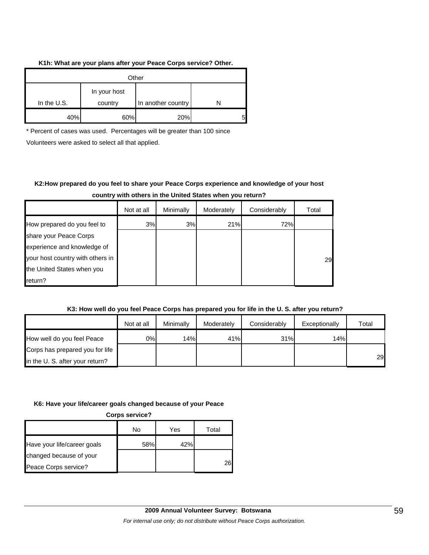#### **K1h: What are your plans after your Peace Corps service? Other.**

| Other       |                         |                    |  |  |
|-------------|-------------------------|--------------------|--|--|
| In the U.S. | In your host<br>country | In another country |  |  |
| 40%         | 60%                     | 20%                |  |  |

\* Percent of cases was used. Percentages will be greater than 100 since

Volunteers were asked to select all that applied.

# **K2:How prepared do you feel to share your Peace Corps experience and knowledge of your host**

|  |  |  | country with others in the United States when you return? |
|--|--|--|-----------------------------------------------------------|
|--|--|--|-----------------------------------------------------------|

|                                  | Not at all | Minimally | Moderately | Considerably | Total |
|----------------------------------|------------|-----------|------------|--------------|-------|
| How prepared do you feel to      | 3%         | 3%        | 21%        | 72%          |       |
| share your Peace Corps           |            |           |            |              |       |
| experience and knowledge of      |            |           |            |              |       |
| your host country with others in |            |           |            |              | 29    |
| the United States when you       |            |           |            |              |       |
| return?                          |            |           |            |              |       |

## **K3: How well do you feel Peace Corps has prepared you for life in the U. S. after you return?**

|                                 | Not at all | Minimally | Moderately | Considerably | Exceptionally | Total |
|---------------------------------|------------|-----------|------------|--------------|---------------|-------|
| How well do you feel Peace      | 0%l        | 14%       | 41%        | 31%          | 14%           |       |
| Corps has prepared you for life |            |           |            |              |               |       |
| in the U. S. after your return? |            |           |            |              |               | 29    |

#### **K6: Have your life/career goals changed because of your Peace**

**Corps service?**

|                             | No  | Yes | Total |
|-----------------------------|-----|-----|-------|
| Have your life/career goals | 58% | 42% |       |
| changed because of your     |     |     |       |
| Peace Corps service?        |     |     | 261   |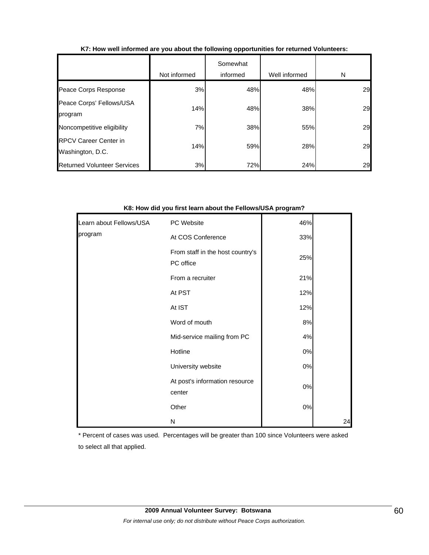|                                                  | Not informed | Somewhat<br>informed | Well informed | N  |
|--------------------------------------------------|--------------|----------------------|---------------|----|
| Peace Corps Response                             | 3%           | 48%                  | 48%           | 29 |
| Peace Corps' Fellows/USA<br>program              | 14%          | 48%                  | 38%           | 29 |
| Noncompetitive eligibility                       | 7%           | 38%                  | 55%           | 29 |
| <b>RPCV Career Center in</b><br>Washington, D.C. | 14%          | 59%                  | 28%           | 29 |
| <b>Returned Volunteer Services</b>               | 3%           | 72%                  | 24%           | 29 |

## **K7: How well informed are you about the following opportunities for returned Volunteers:**

### **K8: How did you first learn about the Fellows/USA program?**

| Learn about Fellows/USA | PC Website                                    | 46% |    |
|-------------------------|-----------------------------------------------|-----|----|
| program                 | At COS Conference                             | 33% |    |
|                         | From staff in the host country's<br>PC office | 25% |    |
|                         | From a recruiter                              | 21% |    |
|                         | At PST                                        | 12% |    |
|                         | At IST                                        | 12% |    |
|                         | Word of mouth                                 | 8%  |    |
|                         | Mid-service mailing from PC                   | 4%  |    |
|                         | Hotline                                       | 0%  |    |
|                         | University website                            | 0%  |    |
|                         | At post's information resource<br>center      | 0%  |    |
|                         | Other                                         | 0%  |    |
|                         | N                                             |     | 24 |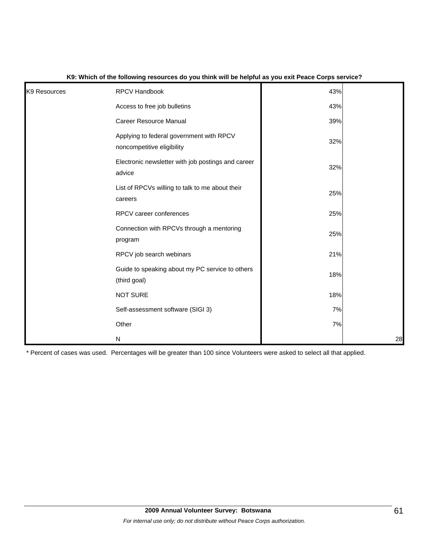| K9 Resources | RPCV Handbook                                                          | 43% |    |
|--------------|------------------------------------------------------------------------|-----|----|
|              | Access to free job bulletins                                           | 43% |    |
|              | <b>Career Resource Manual</b>                                          | 39% |    |
|              | Applying to federal government with RPCV<br>noncompetitive eligibility | 32% |    |
|              | Electronic newsletter with job postings and career<br>advice           | 32% |    |
|              | List of RPCVs willing to talk to me about their<br>careers             | 25% |    |
|              | RPCV career conferences                                                | 25% |    |
|              | Connection with RPCVs through a mentoring<br>program                   | 25% |    |
|              | RPCV job search webinars                                               | 21% |    |
|              | Guide to speaking about my PC service to others<br>(third goal)        | 18% |    |
|              | <b>NOT SURE</b>                                                        | 18% |    |
|              | Self-assessment software (SIGI 3)                                      | 7%  |    |
|              | Other                                                                  | 7%  |    |
|              | ${\sf N}$                                                              |     | 28 |

### **K9: Which of the following resources do you think will be helpful as you exit Peace Corps service?**